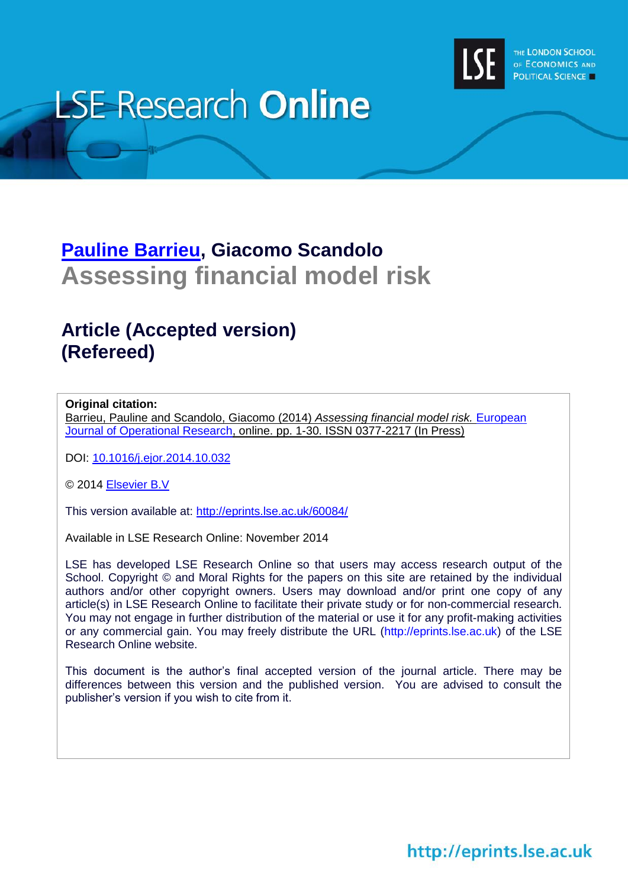

# **LSE Research Online**

# **[Pauline Barrieu,](http://www.lse.ac.uk/researchAndExpertise/Experts/profile.aspx?KeyValue=p.m.barrieu@lse.ac.uk) Giacomo Scandolo Assessing financial model risk**

# **Article (Accepted version) (Refereed)**

### **Original citation:**

Barrieu, Pauline and Scandolo, Giacomo (2014) *Assessing financial model risk.* [European](http://www.sciencedirect.com/science/journal/03772217)  [Journal of Operational Research,](http://www.sciencedirect.com/science/journal/03772217) online. pp. 1-30. ISSN 0377-2217 (In Press)

DOI: [10.1016/j.ejor.2014.10.032](http://dx.doi.org/10.1016/j.ejor.2014.10.032)

© 2014 [Elsevier B.V](http://www.elsevier.com/)

This version available at:<http://eprints.lse.ac.uk/60084/>

Available in LSE Research Online: November 2014

LSE has developed LSE Research Online so that users may access research output of the School. Copyright © and Moral Rights for the papers on this site are retained by the individual authors and/or other copyright owners. Users may download and/or print one copy of any article(s) in LSE Research Online to facilitate their private study or for non-commercial research. You may not engage in further distribution of the material or use it for any profit-making activities or any commercial gain. You may freely distribute the URL (http://eprints.lse.ac.uk) of the LSE Research Online website.

This document is the author's final accepted version of the journal article. There may be differences between this version and the published version. You are advised to consult the publisher's version if you wish to cite from it.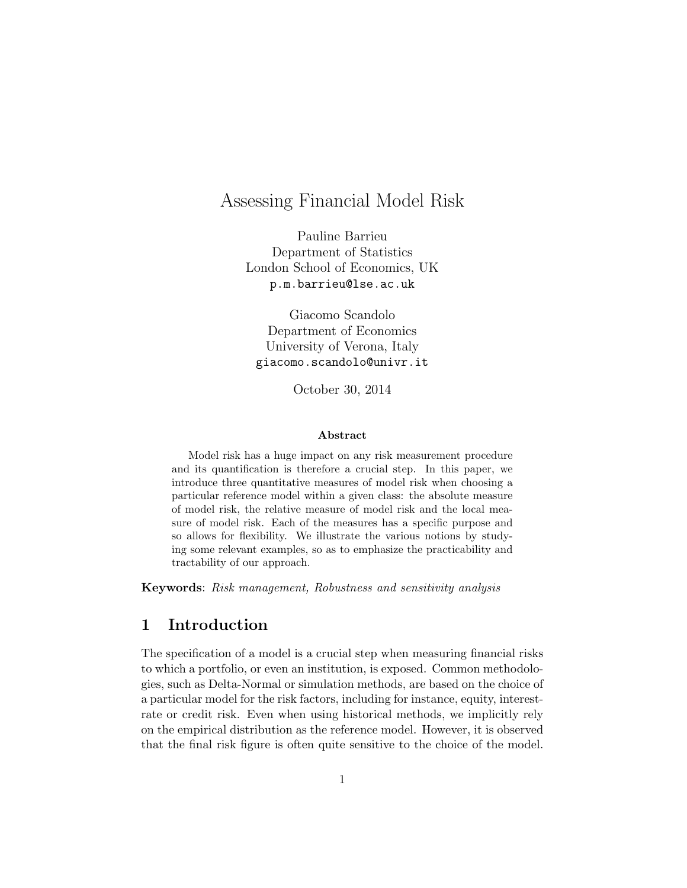# Assessing Financial Model Risk

Pauline Barrieu Department of Statistics London School of Economics, UK p.m.barrieu@lse.ac.uk

Giacomo Scandolo Department of Economics University of Verona, Italy giacomo.scandolo@univr.it

October 30, 2014

#### Abstract

Model risk has a huge impact on any risk measurement procedure and its quantification is therefore a crucial step. In this paper, we introduce three quantitative measures of model risk when choosing a particular reference model within a given class: the absolute measure of model risk, the relative measure of model risk and the local measure of model risk. Each of the measures has a specific purpose and so allows for flexibility. We illustrate the various notions by studying some relevant examples, so as to emphasize the practicability and tractability of our approach.

Keywords: Risk management, Robustness and sensitivity analysis

# 1 Introduction

The specification of a model is a crucial step when measuring financial risks to which a portfolio, or even an institution, is exposed. Common methodologies, such as Delta-Normal or simulation methods, are based on the choice of a particular model for the risk factors, including for instance, equity, interestrate or credit risk. Even when using historical methods, we implicitly rely on the empirical distribution as the reference model. However, it is observed that the final risk figure is often quite sensitive to the choice of the model.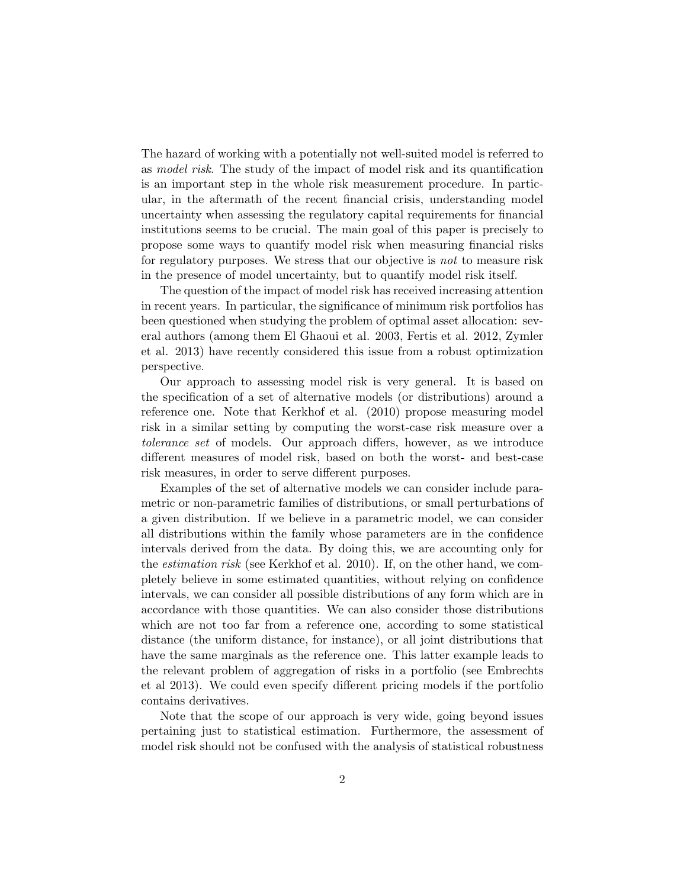The hazard of working with a potentially not well-suited model is referred to as model risk. The study of the impact of model risk and its quantification is an important step in the whole risk measurement procedure. In particular, in the aftermath of the recent financial crisis, understanding model uncertainty when assessing the regulatory capital requirements for financial institutions seems to be crucial. The main goal of this paper is precisely to propose some ways to quantify model risk when measuring financial risks for regulatory purposes. We stress that our objective is *not* to measure risk in the presence of model uncertainty, but to quantify model risk itself.

The question of the impact of model risk has received increasing attention in recent years. In particular, the significance of minimum risk portfolios has been questioned when studying the problem of optimal asset allocation: several authors (among them El Ghaoui et al. 2003, Fertis et al. 2012, Zymler et al. 2013) have recently considered this issue from a robust optimization perspective.

Our approach to assessing model risk is very general. It is based on the specification of a set of alternative models (or distributions) around a reference one. Note that Kerkhof et al. (2010) propose measuring model risk in a similar setting by computing the worst-case risk measure over a tolerance set of models. Our approach differs, however, as we introduce different measures of model risk, based on both the worst- and best-case risk measures, in order to serve different purposes.

Examples of the set of alternative models we can consider include parametric or non-parametric families of distributions, or small perturbations of a given distribution. If we believe in a parametric model, we can consider all distributions within the family whose parameters are in the confidence intervals derived from the data. By doing this, we are accounting only for the *estimation risk* (see Kerkhof et al. 2010). If, on the other hand, we completely believe in some estimated quantities, without relying on confidence intervals, we can consider all possible distributions of any form which are in accordance with those quantities. We can also consider those distributions which are not too far from a reference one, according to some statistical distance (the uniform distance, for instance), or all joint distributions that have the same marginals as the reference one. This latter example leads to the relevant problem of aggregation of risks in a portfolio (see Embrechts et al 2013). We could even specify different pricing models if the portfolio contains derivatives.

Note that the scope of our approach is very wide, going beyond issues pertaining just to statistical estimation. Furthermore, the assessment of model risk should not be confused with the analysis of statistical robustness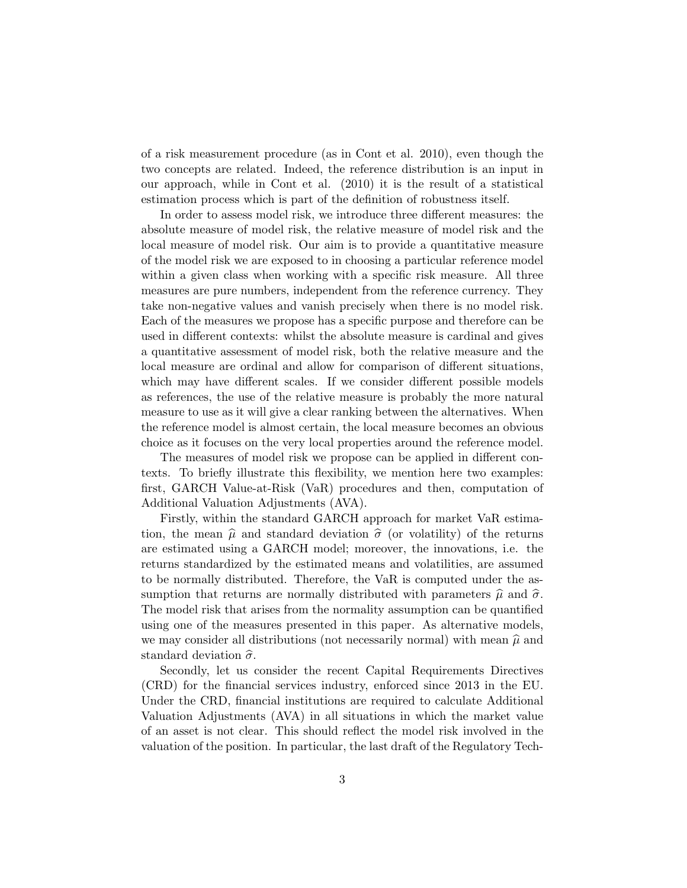of a risk measurement procedure (as in Cont et al. 2010), even though the two concepts are related. Indeed, the reference distribution is an input in our approach, while in Cont et al. (2010) it is the result of a statistical estimation process which is part of the definition of robustness itself.

In order to assess model risk, we introduce three different measures: the absolute measure of model risk, the relative measure of model risk and the local measure of model risk. Our aim is to provide a quantitative measure of the model risk we are exposed to in choosing a particular reference model within a given class when working with a specific risk measure. All three measures are pure numbers, independent from the reference currency. They take non-negative values and vanish precisely when there is no model risk. Each of the measures we propose has a specific purpose and therefore can be used in different contexts: whilst the absolute measure is cardinal and gives a quantitative assessment of model risk, both the relative measure and the local measure are ordinal and allow for comparison of different situations, which may have different scales. If we consider different possible models as references, the use of the relative measure is probably the more natural measure to use as it will give a clear ranking between the alternatives. When the reference model is almost certain, the local measure becomes an obvious choice as it focuses on the very local properties around the reference model.

The measures of model risk we propose can be applied in different contexts. To briefly illustrate this flexibility, we mention here two examples: first, GARCH Value-at-Risk (VaR) procedures and then, computation of Additional Valuation Adjustments (AVA).

Firstly, within the standard GARCH approach for market VaR estimation, the mean  $\hat{\mu}$  and standard deviation  $\hat{\sigma}$  (or volatility) of the returns are estimated using a GARCH model; moreover, the innovations, i.e. the returns standardized by the estimated means and volatilities, are assumed to be normally distributed. Therefore, the VaR is computed under the assumption that returns are normally distributed with parameters  $\hat{\mu}$  and  $\hat{\sigma}$ . The model risk that arises from the normality assumption can be quantified using one of the measures presented in this paper. As alternative models, we may consider all distributions (not necessarily normal) with mean  $\hat{\mu}$  and standard deviation  $\hat{\sigma}$ .

Secondly, let us consider the recent Capital Requirements Directives (CRD) for the financial services industry, enforced since 2013 in the EU. Under the CRD, financial institutions are required to calculate Additional Valuation Adjustments (AVA) in all situations in which the market value of an asset is not clear. This should reflect the model risk involved in the valuation of the position. In particular, the last draft of the Regulatory Tech-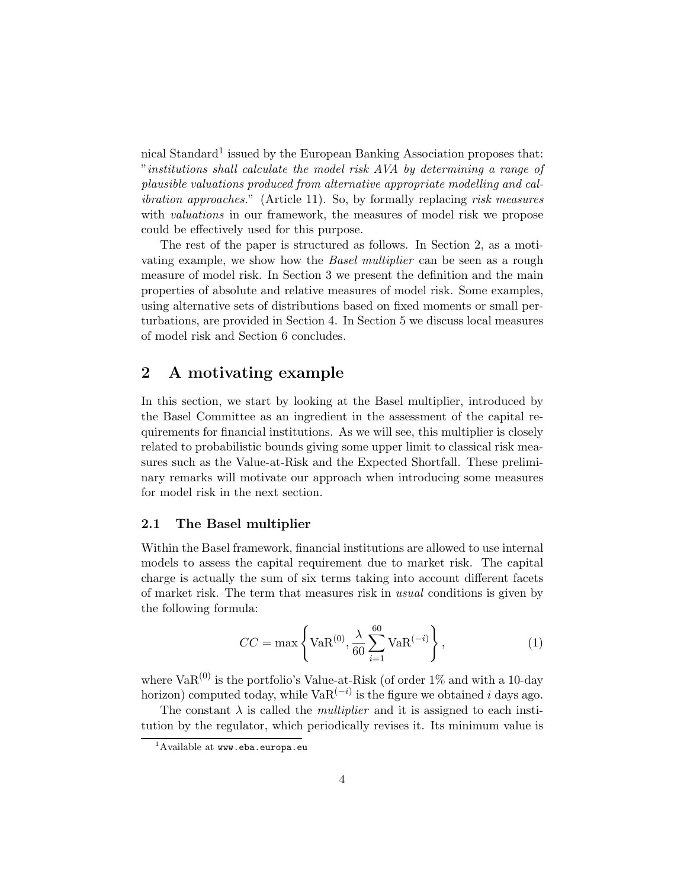nical Standard<sup>1</sup> issued by the European Banking Association proposes that: "institutions shall calculate the model risk AVA by determining a range of plausible valuations produced from alternative appropriate modelling and calibration approaches." (Article 11). So, by formally replacing risk measures with *valuations* in our framework, the measures of model risk we propose could be effectively used for this purpose.

The rest of the paper is structured as follows. In Section 2, as a motivating example, we show how the Basel multiplier can be seen as a rough measure of model risk. In Section 3 we present the definition and the main properties of absolute and relative measures of model risk. Some examples, using alternative sets of distributions based on fixed moments or small perturbations, are provided in Section 4. In Section 5 we discuss local measures of model risk and Section 6 concludes.

## 2 A motivating example

In this section, we start by looking at the Basel multiplier, introduced by the Basel Committee as an ingredient in the assessment of the capital requirements for financial institutions. As we will see, this multiplier is closely related to probabilistic bounds giving some upper limit to classical risk measures such as the Value-at-Risk and the Expected Shortfall. These preliminary remarks will motivate our approach when introducing some measures for model risk in the next section.

#### 2.1 The Basel multiplier

Within the Basel framework, financial institutions are allowed to use internal models to assess the capital requirement due to market risk. The capital charge is actually the sum of six terms taking into account different facets of market risk. The term that measures risk in usual conditions is given by the following formula:

$$
CC = \max\left\{ \text{VaR}^{(0)}, \frac{\lambda}{60} \sum_{i=1}^{60} \text{VaR}^{(-i)} \right\},
$$
 (1)

where  $VaR^{(0)}$  is the portfolio's Value-at-Risk (of order  $1\%$  and with a 10-day horizon) computed today, while  $VaR<sup>(-i)</sup>$  is the figure we obtained i days ago.

The constant  $\lambda$  is called the *multiplier* and it is assigned to each institution by the regulator, which periodically revises it. Its minimum value is

<sup>&</sup>lt;sup>1</sup>Available at www.eba.europa.eu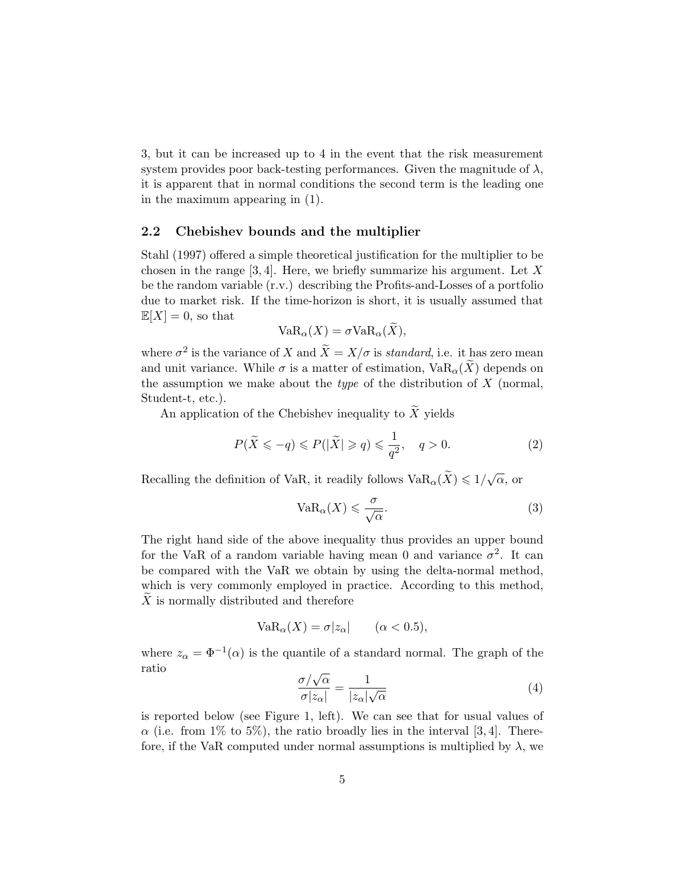3, but it can be increased up to 4 in the event that the risk measurement system provides poor back-testing performances. Given the magnitude of  $\lambda$ , it is apparent that in normal conditions the second term is the leading one in the maximum appearing in (1).

#### 2.2 Chebishev bounds and the multiplier

Stahl (1997) offered a simple theoretical justification for the multiplier to be chosen in the range  $[3, 4]$ . Here, we briefly summarize his argument. Let X be the random variable (r.v.) describing the Profits-and-Losses of a portfolio due to market risk. If the time-horizon is short, it is usually assumed that  $\mathbb{E}[X] = 0$ , so that

$$
VaR_{\alpha}(X) = \sigma VaR_{\alpha}(X),
$$

where  $\sigma^2$  is the variance of X and  $\widetilde{X} = X/\sigma$  is standard, i.e. it has zero mean and unit variance. While  $\sigma$  is a matter of estimation,  $VaR_{\alpha}(X)$  depends on the assumption we make about the *type* of the distribution of  $X$  (normal, Student-t, etc.).

An application of the Chebishev inequality to  $\widetilde{X}$  yields

$$
P(\widetilde{X} \leqslant -q) \leqslant P(|\widetilde{X}| \geqslant q) \leqslant \frac{1}{q^2}, \quad q > 0. \tag{2}
$$

Recalling the definition of VaR, it readily follows  $\mathrm{VaR}_\alpha(\widetilde X) \leqslant 1/\sqrt{\alpha},$  or

$$
VaR_{\alpha}(X) \leqslant \frac{\sigma}{\sqrt{\alpha}}.\tag{3}
$$

The right hand side of the above inequality thus provides an upper bound for the VaR of a random variable having mean 0 and variance  $\sigma^2$ . It can be compared with the VaR we obtain by using the delta-normal method, which is very commonly employed in practice. According to this method,  $\tilde{X}$  is normally distributed and therefore

$$
VaR_{\alpha}(X) = \sigma |z_{\alpha}| \qquad (\alpha < 0.5),
$$

where  $z_{\alpha} = \Phi^{-1}(\alpha)$  is the quantile of a standard normal. The graph of the ratio

$$
\frac{\sigma/\sqrt{\alpha}}{\sigma|z_{\alpha}|} = \frac{1}{|z_{\alpha}|\sqrt{\alpha}}\tag{4}
$$

is reported below (see Figure 1, left). We can see that for usual values of  $\alpha$  (i.e. from 1% to 5%), the ratio broadly lies in the interval [3, 4]. Therefore, if the VaR computed under normal assumptions is multiplied by  $\lambda$ , we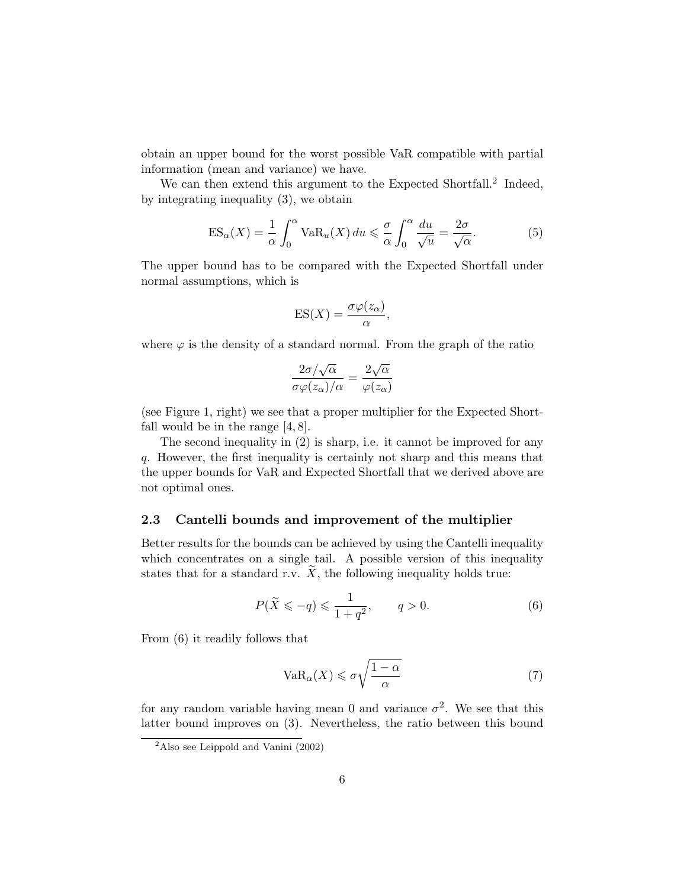obtain an upper bound for the worst possible VaR compatible with partial information (mean and variance) we have.

We can then extend this argument to the Expected Shortfall.<sup>2</sup> Indeed, by integrating inequality (3), we obtain

$$
ES_{\alpha}(X) = \frac{1}{\alpha} \int_0^{\alpha} VaR_u(X) du \le \frac{\sigma}{\alpha} \int_0^{\alpha} \frac{du}{\sqrt{u}} = \frac{2\sigma}{\sqrt{\alpha}}.
$$
 (5)

The upper bound has to be compared with the Expected Shortfall under normal assumptions, which is

$$
ES(X) = \frac{\sigma \varphi(z_{\alpha})}{\alpha},
$$

where  $\varphi$  is the density of a standard normal. From the graph of the ratio

$$
\frac{2\sigma/\sqrt{\alpha}}{\sigma\varphi(z_{\alpha})/\alpha} = \frac{2\sqrt{\alpha}}{\varphi(z_{\alpha})}
$$

(see Figure 1, right) we see that a proper multiplier for the Expected Shortfall would be in the range [4, 8].

The second inequality in (2) is sharp, i.e. it cannot be improved for any q. However, the first inequality is certainly not sharp and this means that the upper bounds for VaR and Expected Shortfall that we derived above are not optimal ones.

#### 2.3 Cantelli bounds and improvement of the multiplier

Better results for the bounds can be achieved by using the Cantelli inequality which concentrates on a single tail. A possible version of this inequality states that for a standard r.v.  $\widetilde{X}$ , the following inequality holds true:

$$
P(\tilde{X} \leqslant -q) \leqslant \frac{1}{1+q^2}, \qquad q > 0. \tag{6}
$$

From (6) it readily follows that

$$
VaR_{\alpha}(X) \leq \sigma \sqrt{\frac{1-\alpha}{\alpha}} \tag{7}
$$

for any random variable having mean 0 and variance  $\sigma^2$ . We see that this latter bound improves on (3). Nevertheless, the ratio between this bound

<sup>2</sup>Also see Leippold and Vanini (2002)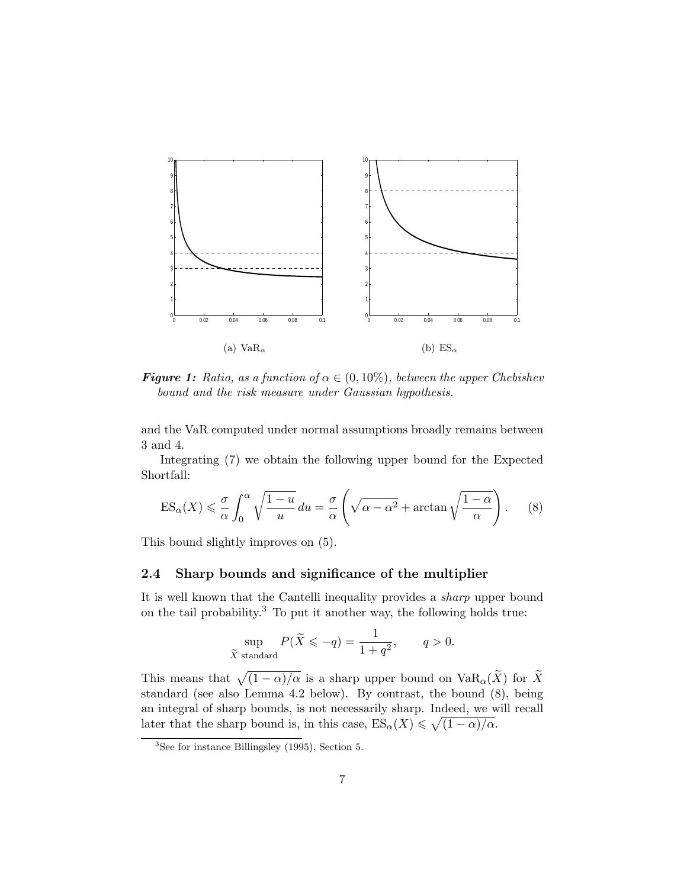

**Figure 1:** Ratio, as a function of  $\alpha \in (0, 10\%)$ , between the upper Chebishev bound and the risk measure under Gaussian hypothesis.

and the VaR computed under normal assumptions broadly remains between 3 and 4.

Integrating (7) we obtain the following upper bound for the Expected Shortfall:

$$
ES_{\alpha}(X) \leq \frac{\sigma}{\alpha} \int_0^{\alpha} \sqrt{\frac{1-u}{u}} \, du = \frac{\sigma}{\alpha} \left( \sqrt{\alpha - \alpha^2} + \arctan \sqrt{\frac{1-\alpha}{\alpha}} \right). \tag{8}
$$

This bound slightly improves on (5).

#### 2.4 Sharp bounds and significance of the multiplier

It is well known that the Cantelli inequality provides a sharp upper bound on the tail probability.<sup>3</sup> To put it another way, the following holds true:

$$
\sup_{\widetilde{X} \text{ standard}} P(\widetilde{X} \leqslant -q) = \frac{1}{1+q^2}, \qquad q > 0.
$$

This means that  $\sqrt{(1 - \alpha)/\alpha}$  is a sharp upper bound on  $\text{VaR}_{\alpha}(\widetilde{X})$  for  $\widetilde{X}$ standard (see also Lemma 4.2 below). By contrast, the bound (8), being an integral of sharp bounds, is not necessarily sharp. Indeed, we will recall later that the sharp bound is, in this case,  $ES_{\alpha}(X) \leq \sqrt{(1-\alpha)/\alpha}$ .

<sup>3</sup>See for instance Billingsley (1995), Section 5.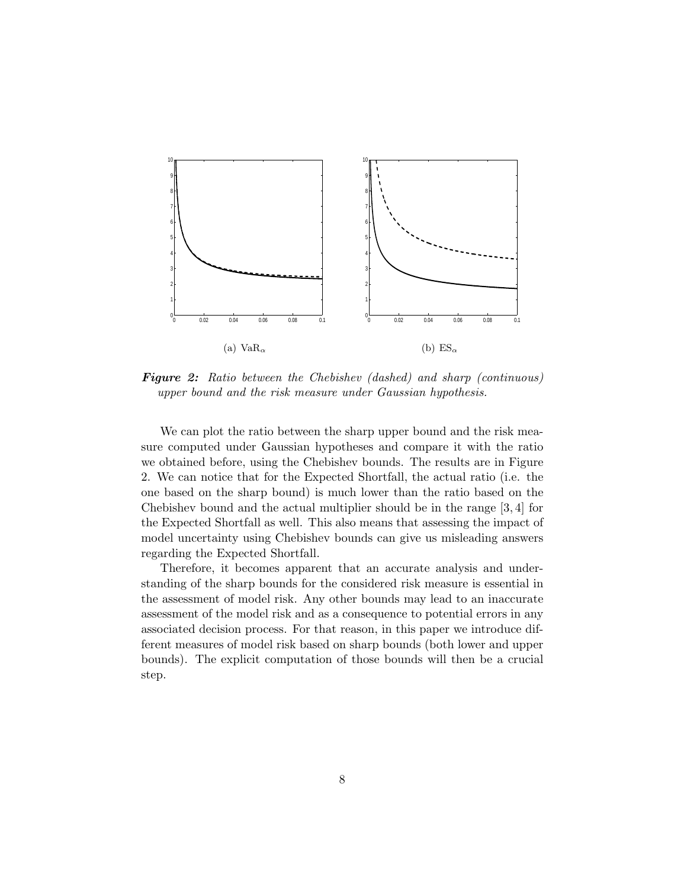

**Figure 2:** Ratio between the Chebishev (dashed) and sharp (continuous) upper bound and the risk measure under Gaussian hypothesis.

We can plot the ratio between the sharp upper bound and the risk measure computed under Gaussian hypotheses and compare it with the ratio we obtained before, using the Chebishev bounds. The results are in Figure 2. We can notice that for the Expected Shortfall, the actual ratio (i.e. the one based on the sharp bound) is much lower than the ratio based on the Chebishev bound and the actual multiplier should be in the range [3, 4] for the Expected Shortfall as well. This also means that assessing the impact of model uncertainty using Chebishev bounds can give us misleading answers regarding the Expected Shortfall.

Therefore, it becomes apparent that an accurate analysis and understanding of the sharp bounds for the considered risk measure is essential in the assessment of model risk. Any other bounds may lead to an inaccurate assessment of the model risk and as a consequence to potential errors in any associated decision process. For that reason, in this paper we introduce different measures of model risk based on sharp bounds (both lower and upper bounds). The explicit computation of those bounds will then be a crucial step.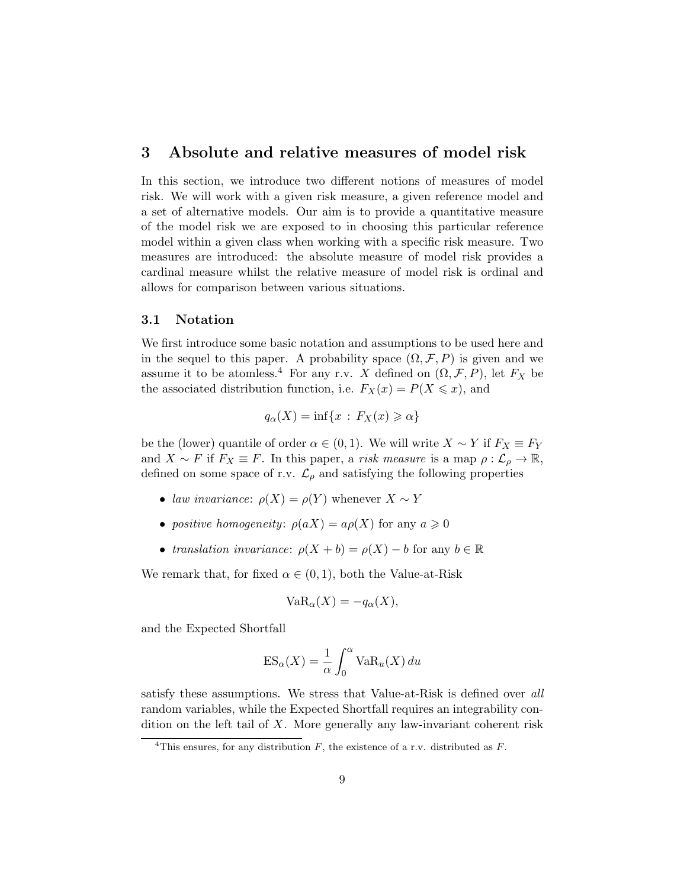### 3 Absolute and relative measures of model risk

In this section, we introduce two different notions of measures of model risk. We will work with a given risk measure, a given reference model and a set of alternative models. Our aim is to provide a quantitative measure of the model risk we are exposed to in choosing this particular reference model within a given class when working with a specific risk measure. Two measures are introduced: the absolute measure of model risk provides a cardinal measure whilst the relative measure of model risk is ordinal and allows for comparison between various situations.

#### 3.1 Notation

We first introduce some basic notation and assumptions to be used here and in the sequel to this paper. A probability space  $(\Omega, \mathcal{F}, P)$  is given and we assume it to be atomless.<sup>4</sup> For any r.v. X defined on  $(\Omega, \mathcal{F}, P)$ , let  $F_X$  be the associated distribution function, i.e.  $F_X(x) = P(X \leq x)$ , and

$$
q_{\alpha}(X) = \inf\{x \,:\, F_X(x) \geq \alpha\}
$$

be the (lower) quantile of order  $\alpha \in (0,1)$ . We will write  $X \sim Y$  if  $F_X \equiv F_Y$ and  $X \sim F$  if  $F_X \equiv F$ . In this paper, a *risk measure* is a map  $\rho : \mathcal{L}_{\rho} \to \mathbb{R}$ , defined on some space of r.v.  $\mathcal{L}_{\rho}$  and satisfying the following properties

- law invariance:  $\rho(X) = \rho(Y)$  whenever  $X \sim Y$
- positive homogeneity:  $\rho(aX) = a\rho(X)$  for any  $a \geq 0$
- translation invariance:  $\rho(X + b) = \rho(X) b$  for any  $b \in \mathbb{R}$

We remark that, for fixed  $\alpha \in (0,1)$ , both the Value-at-Risk

$$
VaR_{\alpha}(X) = -q_{\alpha}(X),
$$

and the Expected Shortfall

$$
ES_{\alpha}(X) = \frac{1}{\alpha} \int_0^{\alpha} VaR_u(X) du
$$

satisfy these assumptions. We stress that Value-at-Risk is defined over all random variables, while the Expected Shortfall requires an integrability condition on the left tail of  $X$ . More generally any law-invariant coherent risk

<sup>&</sup>lt;sup>4</sup>This ensures, for any distribution  $F$ , the existence of a r.v. distributed as  $F$ .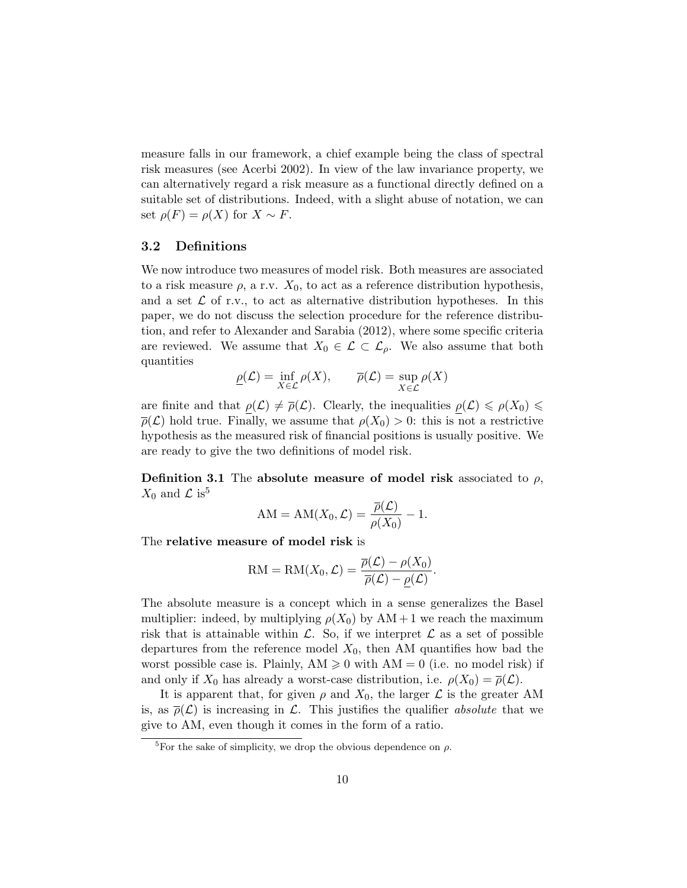measure falls in our framework, a chief example being the class of spectral risk measures (see Acerbi 2002). In view of the law invariance property, we can alternatively regard a risk measure as a functional directly defined on a suitable set of distributions. Indeed, with a slight abuse of notation, we can set  $\rho(F) = \rho(X)$  for  $X \sim F$ .

#### 3.2 Definitions

We now introduce two measures of model risk. Both measures are associated to a risk measure  $\rho$ , a r.v.  $X_0$ , to act as a reference distribution hypothesis, and a set  $\mathcal L$  of r.v., to act as alternative distribution hypotheses. In this paper, we do not discuss the selection procedure for the reference distribution, and refer to Alexander and Sarabia (2012), where some specific criteria are reviewed. We assume that  $X_0 \in \mathcal{L} \subset \mathcal{L}_{\rho}$ . We also assume that both quantities

$$
\underline{\rho}(\mathcal{L}) = \inf_{X \in \mathcal{L}} \rho(X), \qquad \overline{\rho}(\mathcal{L}) = \sup_{X \in \mathcal{L}} \rho(X)
$$

are finite and that  $\rho(\mathcal{L}) \neq \overline{\rho}(\mathcal{L})$ . Clearly, the inequalities  $\rho(\mathcal{L}) \leq \rho(X_0) \leq$  $\overline{\rho}(\mathcal{L})$  hold true. Finally, we assume that  $\rho(X_0) > 0$ : this is not a restrictive hypothesis as the measured risk of financial positions is usually positive. We are ready to give the two definitions of model risk.

**Definition 3.1** The absolute measure of model risk associated to  $\rho$ ,  $X_0$  and  $\mathcal{L}$  is<sup>5</sup>

$$
AM = AM(X_0, \mathcal{L}) = \frac{\overline{\rho}(\mathcal{L})}{\rho(X_0)} - 1.
$$

The relative measure of model risk is

$$
RM = RM(X_0, \mathcal{L}) = \frac{\overline{\rho}(\mathcal{L}) - \rho(X_0)}{\overline{\rho}(\mathcal{L}) - \underline{\rho}(\mathcal{L})}.
$$

The absolute measure is a concept which in a sense generalizes the Basel multiplier: indeed, by multiplying  $\rho(X_0)$  by  $AM + 1$  we reach the maximum risk that is attainable within  $\mathcal{L}$ . So, if we interpret  $\mathcal{L}$  as a set of possible departures from the reference model  $X_0$ , then AM quantifies how bad the worst possible case is. Plainly,  $AM \geq 0$  with  $AM = 0$  (i.e. no model risk) if and only if  $X_0$  has already a worst-case distribution, i.e.  $\rho(X_0) = \overline{\rho}(\mathcal{L})$ .

It is apparent that, for given  $\rho$  and  $X_0$ , the larger  $\mathcal L$  is the greater AM is, as  $\bar{\rho}(\mathcal{L})$  is increasing in  $\mathcal{L}$ . This justifies the qualifier absolute that we give to AM, even though it comes in the form of a ratio.

<sup>&</sup>lt;sup>5</sup>For the sake of simplicity, we drop the obvious dependence on  $\rho$ .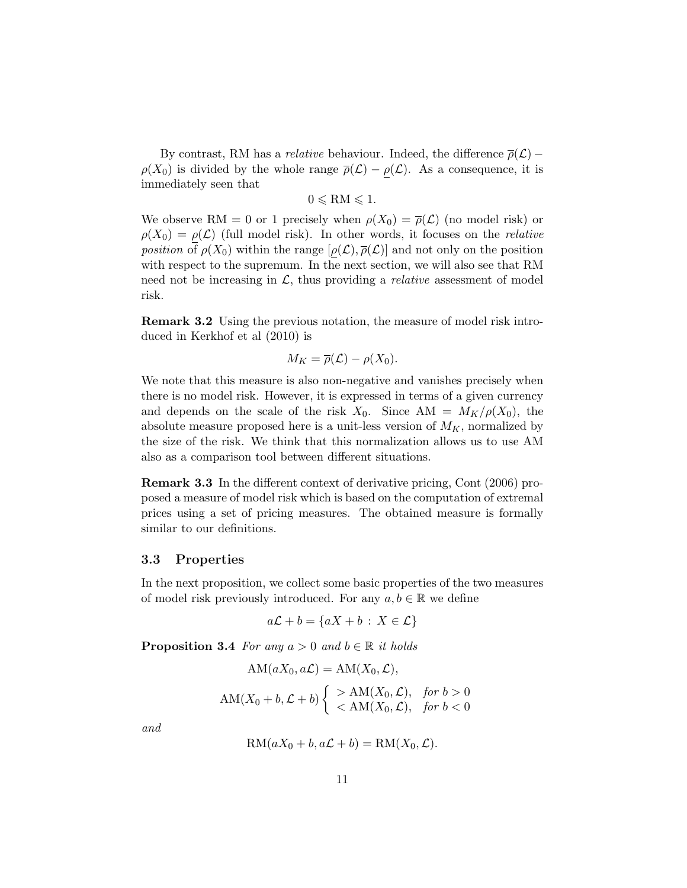By contrast, RM has a *relative* behaviour. Indeed, the difference  $\bar{\rho}(\mathcal{L})$  –  $\rho(X_0)$  is divided by the whole range  $\bar{\rho}(\mathcal{L}) - \rho(\mathcal{L})$ . As a consequence, it is immediately seen that

$$
0 \leqslant \mathrm{RM} \leqslant 1.
$$

We observe RM = 0 or 1 precisely when  $\rho(X_0) = \overline{\rho}(\mathcal{L})$  (no model risk) or  $\rho(X_0) = \rho(\mathcal{L})$  (full model risk). In other words, it focuses on the *relative position* of  $\rho(X_0)$  within the range  $[\rho(\mathcal{L}), \overline{\rho}(\mathcal{L})]$  and not only on the position with respect to the supremum. In the next section, we will also see that RM need not be increasing in  $\mathcal{L}$ , thus providing a *relative* assessment of model risk.

Remark 3.2 Using the previous notation, the measure of model risk introduced in Kerkhof et al (2010) is

$$
M_K = \overline{\rho}(\mathcal{L}) - \rho(X_0).
$$

We note that this measure is also non-negative and vanishes precisely when there is no model risk. However, it is expressed in terms of a given currency and depends on the scale of the risk  $X_0$ . Since  $AM = M_K/\rho(X_0)$ , the absolute measure proposed here is a unit-less version of  $M_K$ , normalized by the size of the risk. We think that this normalization allows us to use AM also as a comparison tool between different situations.

Remark 3.3 In the different context of derivative pricing, Cont (2006) proposed a measure of model risk which is based on the computation of extremal prices using a set of pricing measures. The obtained measure is formally similar to our definitions.

#### 3.3 Properties

In the next proposition, we collect some basic properties of the two measures of model risk previously introduced. For any  $a, b \in \mathbb{R}$  we define

$$
a\mathcal{L} + b = \{aX + b : X \in \mathcal{L}\}
$$

**Proposition 3.4** For any  $a > 0$  and  $b \in \mathbb{R}$  it holds

$$
AM(aX_0, a\mathcal{L}) = AM(X_0, \mathcal{L}),
$$
  
 
$$
AM(X_0 + b, \mathcal{L} + b) \begin{cases} > AM(X_0, \mathcal{L}), & \text{for } b > 0 \\ < AM(X_0, \mathcal{L}), & \text{for } b < 0 \end{cases}
$$

and

$$
RM(aX_0 + b, a\mathcal{L} + b) = RM(X_0, \mathcal{L}).
$$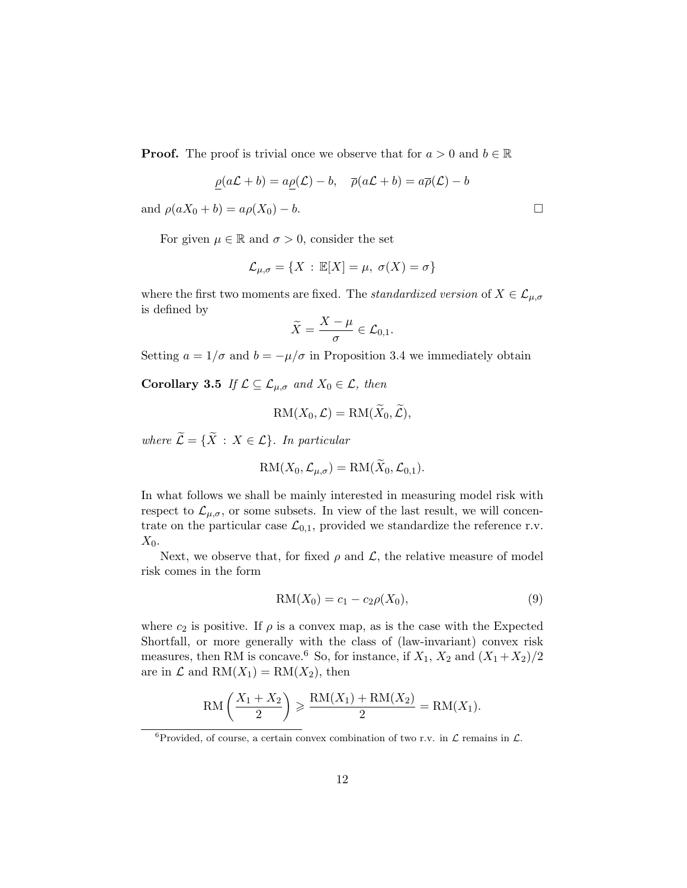**Proof.** The proof is trivial once we observe that for  $a > 0$  and  $b \in \mathbb{R}$ 

$$
\rho(a\mathcal{L} + b) = a\rho(\mathcal{L}) - b, \quad \overline{\rho}(a\mathcal{L} + b) = a\overline{\rho}(\mathcal{L}) - b
$$

and  $\rho(aX_0 + b) = a\rho(X_0) - b$ .

For given  $\mu \in \mathbb{R}$  and  $\sigma > 0$ , consider the set

$$
\mathcal{L}_{\mu,\sigma} = \{ X : \mathbb{E}[X] = \mu, \ \sigma(X) = \sigma \}
$$

where the first two moments are fixed. The *standardized version* of  $X \in \mathcal{L}_{\mu,\sigma}$ is defined by

$$
\widetilde{X}=\frac{X-\mu}{\sigma}\in \mathcal{L}_{0,1}.
$$

Setting  $a = 1/\sigma$  and  $b = -\mu/\sigma$  in Proposition 3.4 we immediately obtain

Corollary 3.5 If  $\mathcal{L} \subseteq \mathcal{L}_{\mu,\sigma}$  and  $X_0 \in \mathcal{L}$ , then

$$
RM(X_0, \mathcal{L}) = RM(X_0, \mathcal{L}),
$$

where  $\widetilde{\mathcal{L}} = {\widetilde{X} : X \in \mathcal{L}}$ . In particular

$$
RM(X_0, \mathcal{L}_{\mu,\sigma}) = RM(X_0, \mathcal{L}_{0,1}).
$$

In what follows we shall be mainly interested in measuring model risk with respect to  $\mathcal{L}_{\mu,\sigma}$ , or some subsets. In view of the last result, we will concentrate on the particular case  $\mathcal{L}_{0,1}$ , provided we standardize the reference r.v.  $X_0$ .

Next, we observe that, for fixed  $\rho$  and  $\mathcal{L}$ , the relative measure of model risk comes in the form

$$
RM(X_0) = c_1 - c_2 \rho(X_0), \tag{9}
$$

where  $c_2$  is positive. If  $\rho$  is a convex map, as is the case with the Expected Shortfall, or more generally with the class of (law-invariant) convex risk measures, then RM is concave.<sup>6</sup> So, for instance, if  $X_1, X_2$  and  $(X_1+X_2)/2$ are in  $\mathcal L$  and  $RM(X_1) = RM(X_2)$ , then

$$
RM\left(\frac{X_1 + X_2}{2}\right) \geqslant \frac{RM(X_1) + RM(X_2)}{2} = RM(X_1).
$$

 $^6\mbox{Provided, of course, a certain convex combination of two r.v. in  
  $\mathcal L$  remains in  $\mathcal L.$$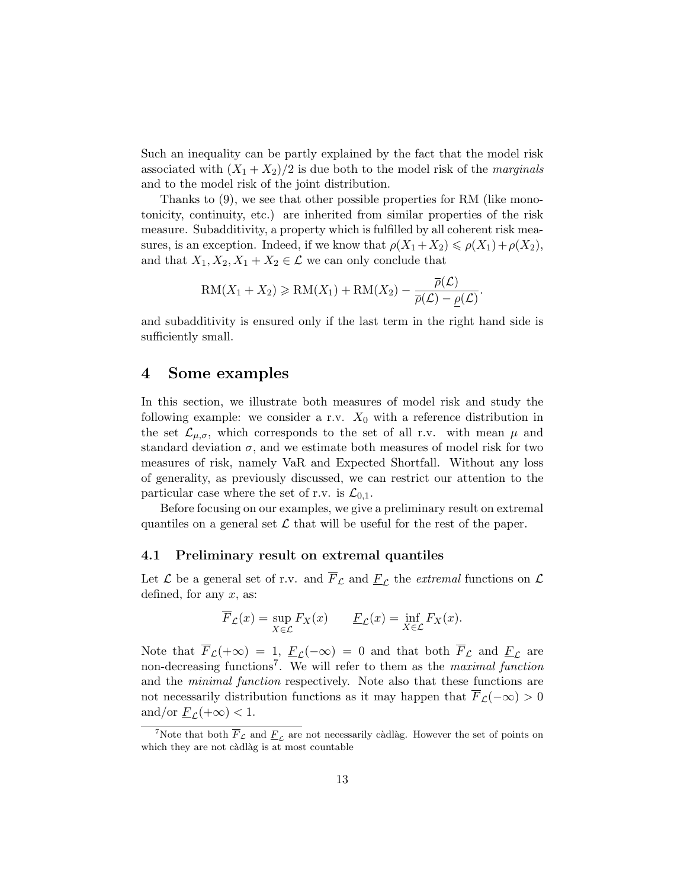Such an inequality can be partly explained by the fact that the model risk associated with  $(X_1 + X_2)/2$  is due both to the model risk of the *marginals* and to the model risk of the joint distribution.

Thanks to (9), we see that other possible properties for RM (like monotonicity, continuity, etc.) are inherited from similar properties of the risk measure. Subadditivity, a property which is fulfilled by all coherent risk measures, is an exception. Indeed, if we know that  $\rho(X_1+X_2) \leq \rho(X_1)+\rho(X_2)$ , and that  $X_1, X_2, X_1 + X_2 \in \mathcal{L}$  we can only conclude that

$$
RM(X_1+X_2) \geqslant RM(X_1) + RM(X_2) - \frac{\overline{\rho}(\mathcal{L})}{\overline{\rho}(\mathcal{L}) - \underline{\rho}(\mathcal{L})}.
$$

and subadditivity is ensured only if the last term in the right hand side is sufficiently small.

#### 4 Some examples

In this section, we illustrate both measures of model risk and study the following example: we consider a r.v.  $X_0$  with a reference distribution in the set  $\mathcal{L}_{\mu,\sigma}$ , which corresponds to the set of all r.v. with mean  $\mu$  and standard deviation  $\sigma$ , and we estimate both measures of model risk for two measures of risk, namely VaR and Expected Shortfall. Without any loss of generality, as previously discussed, we can restrict our attention to the particular case where the set of r.v. is  $\mathcal{L}_{0,1}$ .

Before focusing on our examples, we give a preliminary result on extremal quantiles on a general set  $\mathcal L$  that will be useful for the rest of the paper.

#### 4.1 Preliminary result on extremal quantiles

Let  $\mathcal L$  be a general set of r.v. and  $\overline{F}_{\mathcal L}$  and  $\underline{F}_{\mathcal L}$  the extremal functions on  $\mathcal L$ defined, for any  $x$ , as:

$$
\overline{F}_{\mathcal{L}}(x) = \sup_{X \in \mathcal{L}} F_X(x) \qquad \underline{F}_{\mathcal{L}}(x) = \inf_{X \in \mathcal{L}} F_X(x).
$$

Note that  $\overline{F}_{\mathcal{L}}(+\infty) = 1$ ,  $\underline{F}_{\mathcal{L}}(-\infty) = 0$  and that both  $\overline{F}_{\mathcal{L}}$  and  $\underline{F}_{\mathcal{L}}$  are non-decreasing functions<sup>7</sup>. We will refer to them as the *maximal function* and the minimal function respectively. Note also that these functions are not necessarily distribution functions as it may happen that  $\overline{F}_{\mathcal{L}}(-\infty) > 0$ and/or  $\underline{F}_{\mathcal{L}}(+\infty) < 1$ .

<sup>&</sup>lt;sup>7</sup>Note that both  $\overline{F}_{\mathcal{L}}$  and  $\underline{F}_{\mathcal{L}}$  are not necessarily càdlàg. However the set of points on which they are not càdlàg is at most countable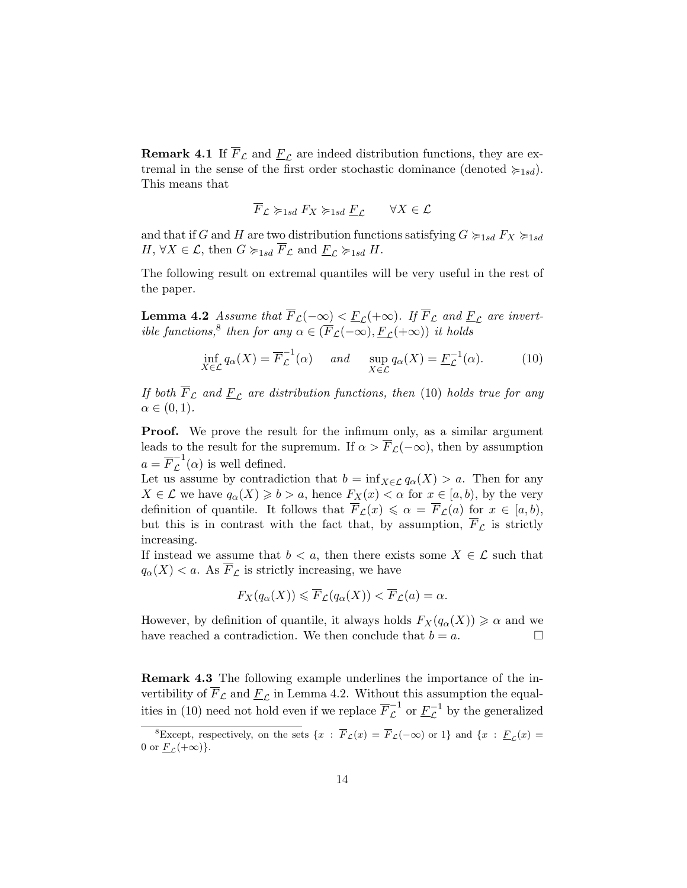**Remark 4.1** If  $\overline{F}_\mathcal{L}$  and  $\underline{F}_\mathcal{L}$  are indeed distribution functions, they are extremal in the sense of the first order stochastic dominance (denoted  $\succcurlyeq_{1sd}$ ). This means that

$$
\overline{F}_{\mathcal{L}} \succcurlyeq_{1sd} F_X \succcurlyeq_{1sd} \underline{F}_{\mathcal{L}} \qquad \forall X \in \mathcal{L}
$$

and that if G and H are two distribution functions satisfying  $G \succ_{1sd} F_X \succ_{1sd}$  $H, \forall X \in \mathcal{L}, \text{ then } G \succcurlyeq_{1sd} \overline{F}_{\mathcal{L}} \text{ and } \underline{F}_{\mathcal{L}} \succcurlyeq_{1sd} H.$ 

The following result on extremal quantiles will be very useful in the rest of the paper.

**Lemma 4.2** Assume that  $\overline{F}_{\mathcal{L}}(-\infty) < \underline{F}_{\mathcal{L}}(+\infty)$ . If  $\overline{F}_{\mathcal{L}}$  and  $\underline{F}_{\mathcal{L}}$  are invertible functions,<sup>8</sup> then for any  $\alpha \in (\overline{F}_{\mathcal{L}}(-\infty), \underline{F}_{\mathcal{L}}(+\infty))$  it holds

$$
\inf_{X \in \mathcal{L}} q_{\alpha}(X) = \overline{F}_{\mathcal{L}}^{-1}(\alpha) \quad \text{and} \quad \sup_{X \in \mathcal{L}} q_{\alpha}(X) = \underline{F}_{\mathcal{L}}^{-1}(\alpha). \tag{10}
$$

If both  $\overline{F}_{\mathcal{L}}$  and  $\underline{F}_{\mathcal{L}}$  are distribution functions, then (10) holds true for any  $\alpha \in (0,1)$ .

**Proof.** We prove the result for the infimum only, as a similar argument leads to the result for the supremum. If  $\alpha > \overline{F}_{\mathcal{L}}(-\infty)$ , then by assumption  $a = \overline{F}_{\mathcal{L}}^{-1}(\alpha)$  is well defined.

Let us assume by contradiction that  $b = \inf_{X \in \mathcal{L}} q_{\alpha}(X) > a$ . Then for any  $X \in \mathcal{L}$  we have  $q_{\alpha}(X) \geqslant b > a$ , hence  $F_X(x) < \alpha$  for  $x \in [a, b)$ , by the very definition of quantile. It follows that  $\overline{F}_{\mathcal{L}}(x) \leq \alpha = \overline{F}_{\mathcal{L}}(a)$  for  $x \in [a, b)$ , but this is in contrast with the fact that, by assumption,  $F_{\mathcal{L}}$  is strictly increasing.

If instead we assume that  $b < a$ , then there exists some  $X \in \mathcal{L}$  such that  $q_{\alpha}(X) < a$ . As  $\overline{F}_{\mathcal{L}}$  is strictly increasing, we have

$$
F_X(q_\alpha(X)) \leqslant \overline{F}_{\mathcal{L}}(q_\alpha(X)) < \overline{F}_{\mathcal{L}}(a) = \alpha.
$$

However, by definition of quantile, it always holds  $F_X(q_\alpha(X)) \geq \alpha$  and we have reached a contradiction. We then conclude that  $b = a$ .

Remark 4.3 The following example underlines the importance of the invertibility of  $F_{\mathcal{L}}$  and  $\underline{F}_{\mathcal{L}}$  in Lemma 4.2. Without this assumption the equalities in (10) need not hold even if we replace  $\overline{F}_{\mathcal{L}}^{-1}$  or  $\underline{F}_{\mathcal{L}}^{-1}$  by the generalized

<sup>&</sup>lt;sup>8</sup>Except, respectively, on the sets  $\{x : \overline{F}_\mathcal{L}(x) = \overline{F}_\mathcal{L}(-\infty) \text{ or } 1\}$  and  $\{x : \underline{F}_\mathcal{L}(x) =$ 0 or  $\underline{F}_{\mathcal{L}}(+\infty)$ .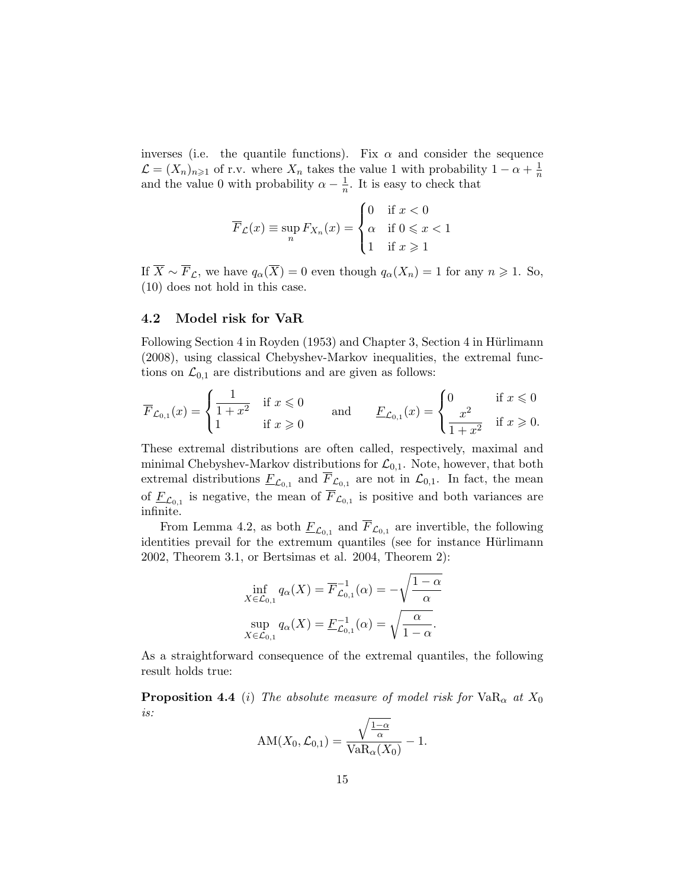inverses (i.e. the quantile functions). Fix  $\alpha$  and consider the sequence  $\mathcal{L} = (X_n)_{n \geq 1}$  of r.v. where  $X_n$  takes the value 1 with probability  $1 - \alpha + \frac{1}{n}$  $\overline{n}$ and the value 0 with probability  $\alpha - \frac{1}{n}$  $\frac{1}{n}$ . It is easy to check that

$$
\overline{F}_{\mathcal{L}}(x) \equiv \sup_{n} F_{X_n}(x) = \begin{cases} 0 & \text{if } x < 0 \\ \alpha & \text{if } 0 \leq x < 1 \\ 1 & \text{if } x \geq 1 \end{cases}
$$

If  $\overline{X} \sim \overline{F}_\mathcal{L}$ , we have  $q_\alpha(\overline{X}) = 0$  even though  $q_\alpha(X_n) = 1$  for any  $n \geq 1$ . So, (10) does not hold in this case.

#### 4.2 Model risk for VaR

Following Section 4 in Royden (1953) and Chapter 3, Section 4 in Hürlimann (2008), using classical Chebyshev-Markov inequalities, the extremal functions on  $\mathcal{L}_{0,1}$  are distributions and are given as follows:

$$
\overline{F}_{\mathcal{L}_{0,1}}(x) = \begin{cases}\n\frac{1}{1+x^2} & \text{if } x \leq 0 \\
1 & \text{if } x \geq 0\n\end{cases}\n\qquad \text{and} \qquad\n\frac{F_{\mathcal{L}_{0,1}}(x)}{F_{\mathcal{L}_{0,1}}(x)} = \begin{cases}\n0 & \text{if } x \leq 0 \\
\frac{x^2}{1+x^2} & \text{if } x \geq 0\n\end{cases}
$$

These extremal distributions are often called, respectively, maximal and minimal Chebyshev-Markov distributions for  $\mathcal{L}_{0,1}$ . Note, however, that both extremal distributions  $\underline{F}_{\mathcal{L}_{0,1}}$  and  $\overline{F}_{\mathcal{L}_{0,1}}$  are not in  $\mathcal{L}_{0,1}$ . In fact, the mean of  $\underline{F}_{\mathcal{L}_{0,1}}$  is negative, the mean of  $F_{\mathcal{L}_{0,1}}$  is positive and both variances are infinite.

From Lemma 4.2, as both  $\underline{F}_{\mathcal{L}_{0,1}}$  and  $F_{\mathcal{L}_{0,1}}$  are invertible, the following identities prevail for the extremum quantiles (see for instance Hürlimann 2002, Theorem 3.1, or Bertsimas et al. 2004, Theorem 2):

$$
\inf_{X \in \mathcal{L}_{0,1}} q_{\alpha}(X) = \overline{F}_{\mathcal{L}_{0,1}}^{-1}(\alpha) = -\sqrt{\frac{1-\alpha}{\alpha}}
$$

$$
\sup_{X \in \mathcal{L}_{0,1}} q_{\alpha}(X) = \underline{F}_{\mathcal{L}_{0,1}}^{-1}(\alpha) = \sqrt{\frac{\alpha}{1-\alpha}}.
$$

As a straightforward consequence of the extremal quantiles, the following result holds true:

**Proposition 4.4** (i) The absolute measure of model risk for  $VaR_{\alpha}$  at  $X_0$ is:

$$
AM(X_0, \mathcal{L}_{0,1}) = \frac{\sqrt{\frac{1-\alpha}{\alpha}}}{VaR_{\alpha}(X_0)} - 1.
$$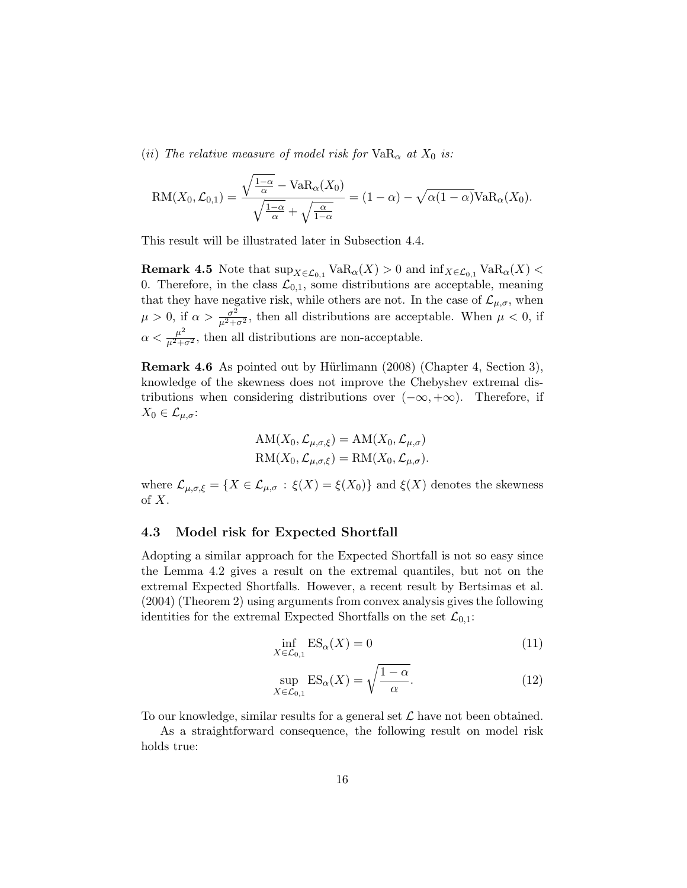(ii) The relative measure of model risk for  $VaR_{\alpha}$  at  $X_0$  is:

$$
RM(X_0, \mathcal{L}_{0,1}) = \frac{\sqrt{\frac{1-\alpha}{\alpha}} - VaR_{\alpha}(X_0)}{\sqrt{\frac{1-\alpha}{\alpha}} + \sqrt{\frac{\alpha}{1-\alpha}}} = (1-\alpha) - \sqrt{\alpha(1-\alpha)}VaR_{\alpha}(X_0).
$$

This result will be illustrated later in Subsection 4.4.

**Remark 4.5** Note that  $\sup_{X \in \mathcal{L}_{0,1}} \text{VaR}_{\alpha}(X) > 0$  and  $\inf_{X \in \mathcal{L}_{0,1}} \text{VaR}_{\alpha}(X) <$ 0. Therefore, in the class  $\mathcal{L}_{0,1}$ , some distributions are acceptable, meaning that they have negative risk, while others are not. In the case of  $\mathcal{L}_{\mu,\sigma}$ , when  $\mu > 0$ , if  $\alpha > \frac{\sigma^2}{\mu^2 + \sigma^2}$ , then all distributions are acceptable. When  $\mu < 0$ , if  $\alpha < \frac{\mu^2}{\mu^2 + \sigma^2}$ , then all distributions are non-acceptable.

**Remark 4.6** As pointed out by Hürlimann  $(2008)$  (Chapter 4, Section 3), knowledge of the skewness does not improve the Chebyshev extremal distributions when considering distributions over  $(-\infty, +\infty)$ . Therefore, if  $X_0 \in \mathcal{L}_{\mu,\sigma}$ :

$$
AM(X_0, \mathcal{L}_{\mu, \sigma, \xi}) = AM(X_0, \mathcal{L}_{\mu, \sigma})
$$
  
\n
$$
RM(X_0, \mathcal{L}_{\mu, \sigma, \xi}) = RM(X_0, \mathcal{L}_{\mu, \sigma}).
$$

where  $\mathcal{L}_{\mu,\sigma,\xi} = \{X \in \mathcal{L}_{\mu,\sigma} : \xi(X) = \xi(X_0)\}\$  and  $\xi(X)$  denotes the skewness of X.

#### 4.3 Model risk for Expected Shortfall

Adopting a similar approach for the Expected Shortfall is not so easy since the Lemma 4.2 gives a result on the extremal quantiles, but not on the extremal Expected Shortfalls. However, a recent result by Bertsimas et al. (2004) (Theorem 2) using arguments from convex analysis gives the following identities for the extremal Expected Shortfalls on the set  $\mathcal{L}_{0,1}$ :

$$
\inf_{X \in \mathcal{L}_{0,1}} ES_{\alpha}(X) = 0 \tag{11}
$$

$$
\sup_{X \in \mathcal{L}_{0,1}} ES_{\alpha}(X) = \sqrt{\frac{1 - \alpha}{\alpha}}.
$$
\n(12)

To our knowledge, similar results for a general set  $\mathcal L$  have not been obtained.

As a straightforward consequence, the following result on model risk holds true: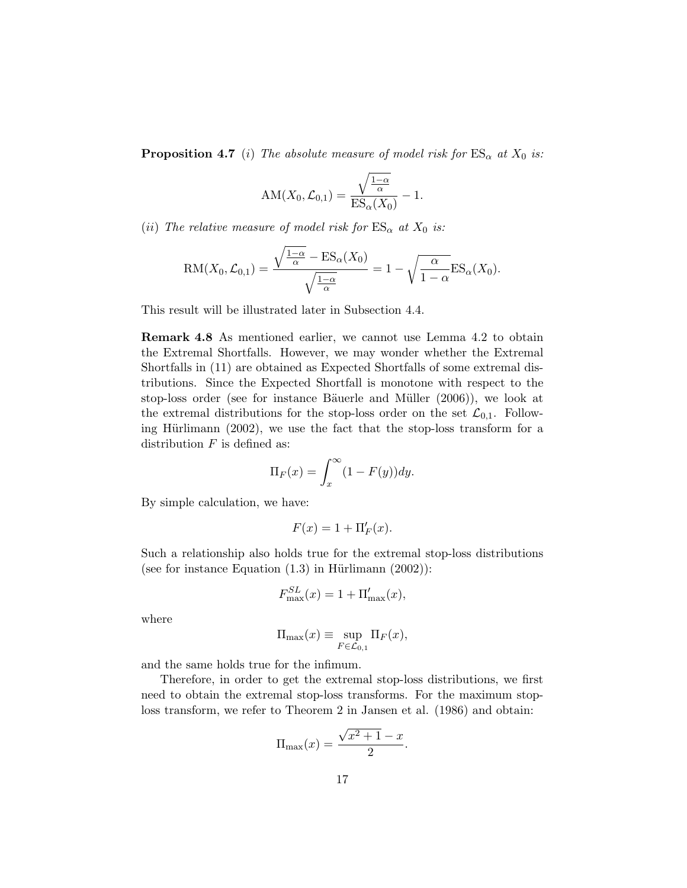**Proposition 4.7** (i) The absolute measure of model risk for  $ES_{\alpha}$  at  $X_0$  is:

$$
\mathrm{AM}(X_0, \mathcal{L}_{0,1}) = \frac{\sqrt{\frac{1-\alpha}{\alpha}}}{\mathrm{ES}_{\alpha}(X_0)} - 1.
$$

(ii) The relative measure of model risk for  $ES_{\alpha}$  at  $X_0$  is:

$$
RM(X_0, \mathcal{L}_{0,1}) = \frac{\sqrt{\frac{1-\alpha}{\alpha}} - ES_{\alpha}(X_0)}{\sqrt{\frac{1-\alpha}{\alpha}}} = 1 - \sqrt{\frac{\alpha}{1-\alpha}} ES_{\alpha}(X_0).
$$

This result will be illustrated later in Subsection 4.4.

Remark 4.8 As mentioned earlier, we cannot use Lemma 4.2 to obtain the Extremal Shortfalls. However, we may wonder whether the Extremal Shortfalls in (11) are obtained as Expected Shortfalls of some extremal distributions. Since the Expected Shortfall is monotone with respect to the stop-loss order (see for instance Bäuerle and Müller  $(2006)$ ), we look at the extremal distributions for the stop-loss order on the set  $\mathcal{L}_{0,1}$ . Following Hürlimann  $(2002)$ , we use the fact that the stop-loss transform for a distribution  $F$  is defined as:

$$
\Pi_F(x) = \int_x^{\infty} (1 - F(y)) dy.
$$

By simple calculation, we have:

$$
F(x) = 1 + \Pi'_F(x).
$$

Such a relationship also holds true for the extremal stop-loss distributions (see for instance Equation  $(1.3)$  in Hürlimann  $(2002)$ ):

$$
F_{\text{max}}^{SL}(x) = 1 + \Pi_{\text{max}}'(x),
$$

where

$$
\Pi_{\max}(x) \equiv \sup_{F \in \mathcal{L}_{0,1}} \Pi_F(x),
$$

and the same holds true for the infimum.

Therefore, in order to get the extremal stop-loss distributions, we first need to obtain the extremal stop-loss transforms. For the maximum stoploss transform, we refer to Theorem 2 in Jansen et al. (1986) and obtain:

$$
\Pi_{\max}(x) = \frac{\sqrt{x^2 + 1} - x}{2}.
$$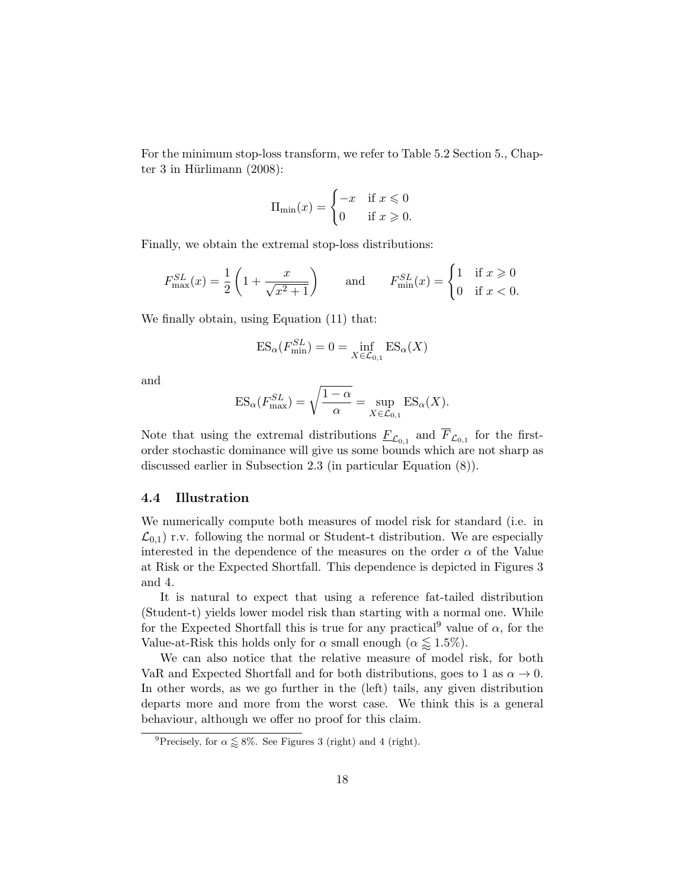For the minimum stop-loss transform, we refer to Table 5.2 Section 5., Chapter 3 in Hürlimann  $(2008)$ :

$$
\Pi_{\min}(x) = \begin{cases} -x & \text{if } x \leq 0 \\ 0 & \text{if } x \geq 0. \end{cases}
$$

Finally, we obtain the extremal stop-loss distributions:

$$
F_{\text{max}}^{SL}(x) = \frac{1}{2} \left( 1 + \frac{x}{\sqrt{x^2 + 1}} \right) \quad \text{and} \quad F_{\text{min}}^{SL}(x) = \begin{cases} 1 & \text{if } x \geq 0 \\ 0 & \text{if } x < 0. \end{cases}
$$

We finally obtain, using Equation (11) that:

$$
ES_{\alpha}(F_{\min}^{SL}) = 0 = \inf_{X \in \mathcal{L}_{0,1}} ES_{\alpha}(X)
$$

and

$$
ES_{\alpha}(F_{\text{max}}^{SL}) = \sqrt{\frac{1-\alpha}{\alpha}} = \sup_{X \in \mathcal{L}_{0,1}} ES_{\alpha}(X).
$$

Note that using the extremal distributions  $\underline{F}_{\mathcal{L}_{0,1}}$  and  $\overline{F}_{\mathcal{L}_{0,1}}$  for the firstorder stochastic dominance will give us some bounds which are not sharp as discussed earlier in Subsection 2.3 (in particular Equation (8)).

#### 4.4 Illustration

We numerically compute both measures of model risk for standard (i.e. in  $\mathcal{L}_{0,1}$ ) r.v. following the normal or Student-t distribution. We are especially interested in the dependence of the measures on the order  $\alpha$  of the Value at Risk or the Expected Shortfall. This dependence is depicted in Figures 3 and 4.

It is natural to expect that using a reference fat-tailed distribution (Student-t) yields lower model risk than starting with a normal one. While for the Expected Shortfall this is true for any practical<sup>9</sup> value of  $\alpha$ , for the Value-at-Risk this holds only for  $\alpha$  small enough  $(\alpha \leq 1.5\%)$ .

We can also notice that the relative measure of model risk, for both VaR and Expected Shortfall and for both distributions, goes to 1 as  $\alpha \to 0$ . In other words, as we go further in the (left) tails, any given distribution departs more and more from the worst case. We think this is a general behaviour, although we offer no proof for this claim.

<sup>&</sup>lt;sup>9</sup>Precisely, for  $\alpha \lessapprox 8\%$ . See Figures 3 (right) and 4 (right).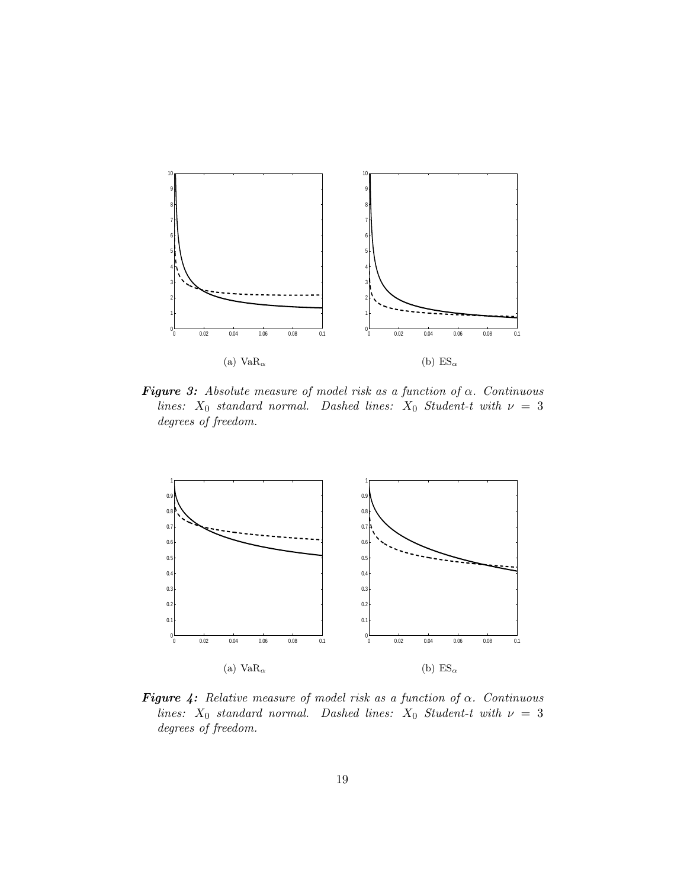

**Figure 3:** Absolute measure of model risk as a function of  $\alpha$ . Continuous lines:  $X_0$  standard normal. Dashed lines:  $X_0$  Student-t with  $\nu = 3$ degrees of freedom.



**Figure 4:** Relative measure of model risk as a function of  $\alpha$ . Continuous lines:  $X_0$  standard normal. Dashed lines:  $X_0$  Student-t with  $\nu = 3$ degrees of freedom.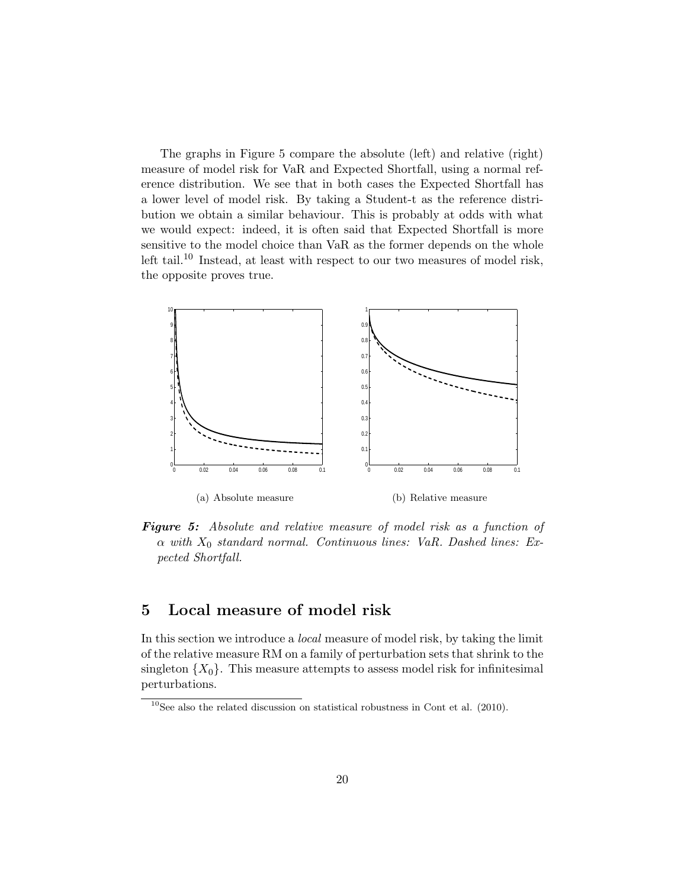The graphs in Figure 5 compare the absolute (left) and relative (right) measure of model risk for VaR and Expected Shortfall, using a normal reference distribution. We see that in both cases the Expected Shortfall has a lower level of model risk. By taking a Student-t as the reference distribution we obtain a similar behaviour. This is probably at odds with what we would expect: indeed, it is often said that Expected Shortfall is more sensitive to the model choice than VaR as the former depends on the whole left tail.<sup>10</sup> Instead, at least with respect to our two measures of model risk, the opposite proves true.



Figure 5: Absolute and relative measure of model risk as a function of  $\alpha$  with  $X_0$  standard normal. Continuous lines: VaR. Dashed lines: Expected Shortfall.

# 5 Local measure of model risk

In this section we introduce a local measure of model risk, by taking the limit of the relative measure RM on a family of perturbation sets that shrink to the singleton  $\{X_0\}$ . This measure attempts to assess model risk for infinitesimal perturbations.

 $10$ See also the related discussion on statistical robustness in Cont et al. (2010).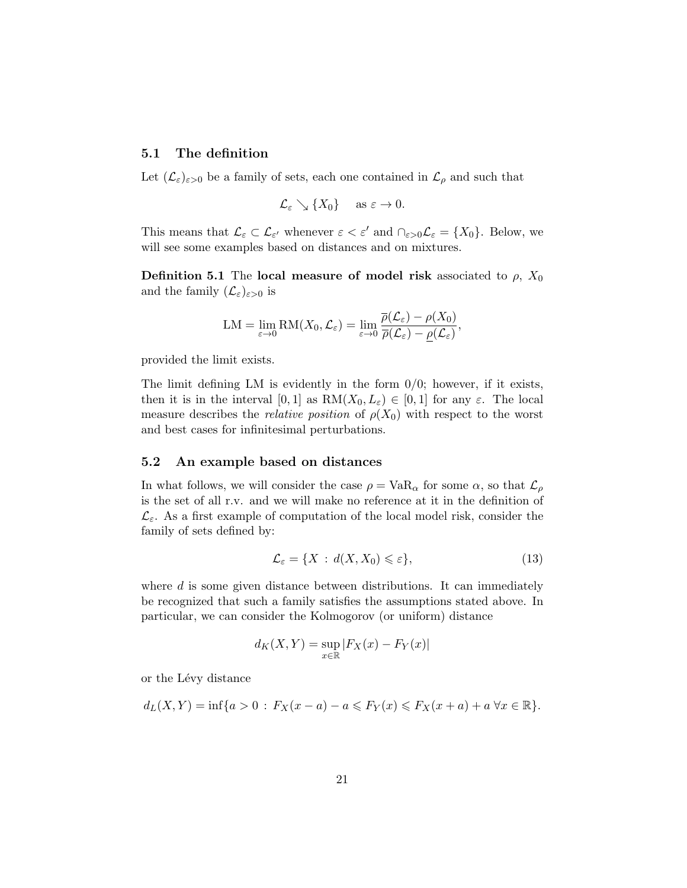#### 5.1 The definition

Let  $(\mathcal{L}_{\varepsilon})_{\varepsilon>0}$  be a family of sets, each one contained in  $\mathcal{L}_{\rho}$  and such that

$$
\mathcal{L}_{\varepsilon} \searrow \{X_0\}
$$
 as  $\varepsilon \to 0$ .

This means that  $\mathcal{L}_{\varepsilon} \subset \mathcal{L}_{\varepsilon'}$  whenever  $\varepsilon < \varepsilon'$  and  $\cap_{\varepsilon > 0} \mathcal{L}_{\varepsilon} = \{X_0\}$ . Below, we will see some examples based on distances and on mixtures.

**Definition 5.1** The local measure of model risk associated to  $\rho$ ,  $X_0$ and the family  $(\mathcal{L}_{\varepsilon})_{\varepsilon>0}$  is

$$
LM = \lim_{\varepsilon \to 0} RM(X_0, \mathcal{L}_\varepsilon) = \lim_{\varepsilon \to 0} \frac{\overline{\rho}(\mathcal{L}_\varepsilon) - \rho(X_0)}{\overline{\rho}(\mathcal{L}_\varepsilon) - \underline{\rho}(\mathcal{L}_\varepsilon)},
$$

provided the limit exists.

The limit defining LM is evidently in the form  $0/0$ ; however, if it exists, then it is in the interval [0, 1] as  $RM(X_0, L_\varepsilon) \in [0, 1]$  for any  $\varepsilon$ . The local measure describes the *relative position* of  $\rho(X_0)$  with respect to the worst and best cases for infinitesimal perturbations.

#### 5.2 An example based on distances

In what follows, we will consider the case  $\rho = \text{VaR}_{\alpha}$  for some  $\alpha$ , so that  $\mathcal{L}_{\rho}$ is the set of all r.v. and we will make no reference at it in the definition of  $\mathcal{L}_{\varepsilon}$ . As a first example of computation of the local model risk, consider the family of sets defined by:

$$
\mathcal{L}_{\varepsilon} = \{ X : d(X, X_0) \leqslant \varepsilon \},\tag{13}
$$

where  $d$  is some given distance between distributions. It can immediately be recognized that such a family satisfies the assumptions stated above. In particular, we can consider the Kolmogorov (or uniform) distance

$$
d_K(X,Y) = \sup_{x \in \mathbb{R}} |F_X(x) - F_Y(x)|
$$

or the Lévy distance

$$
d_L(X, Y) = \inf\{a > 0 : F_X(x - a) - a \leq F_Y(x) \leq F_X(x + a) + a \,\forall x \in \mathbb{R}\}.
$$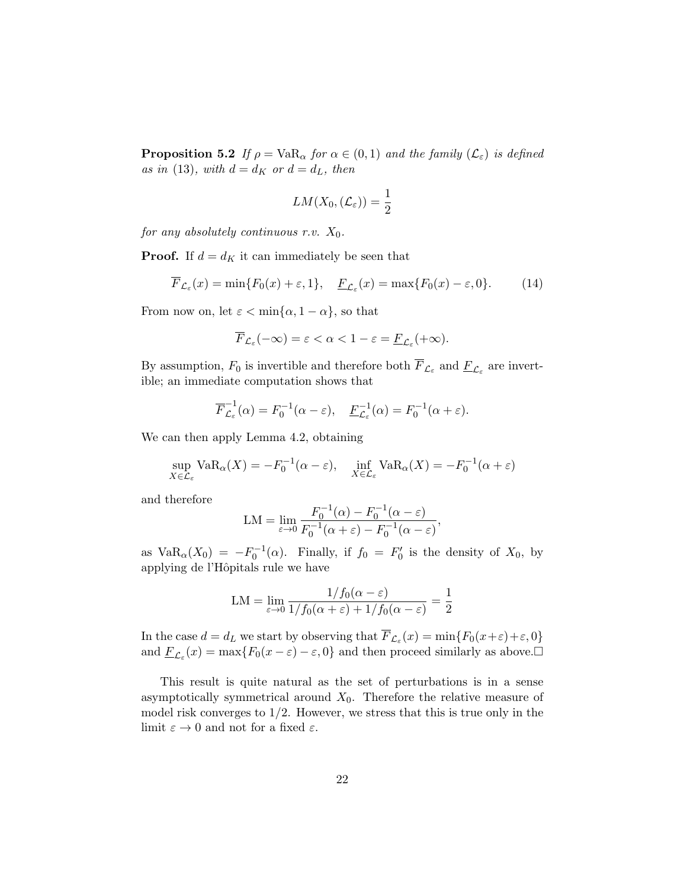**Proposition 5.2** If  $\rho = \text{VaR}_{\alpha}$  for  $\alpha \in (0,1)$  and the family  $(\mathcal{L}_{\varepsilon})$  is defined as in (13), with  $d = d_K$  or  $d = d_L$ , then

$$
LM(X_0, (\mathcal{L}_{\varepsilon})) = \frac{1}{2}
$$

for any absolutely continuous r.v.  $X_0$ .

**Proof.** If  $d = d_K$  it can immediately be seen that

$$
\overline{F}_{\mathcal{L}_{\varepsilon}}(x) = \min\{F_0(x) + \varepsilon, 1\}, \quad \underline{F}_{\mathcal{L}_{\varepsilon}}(x) = \max\{F_0(x) - \varepsilon, 0\}.
$$
 (14)

From now on, let  $\varepsilon < \min\{\alpha, 1 - \alpha\}$ , so that

$$
\overline{F}_{\mathcal{L}_{\varepsilon}}(-\infty) = \varepsilon < \alpha < 1 - \varepsilon = \underline{F}_{\mathcal{L}_{\varepsilon}}(+\infty).
$$

By assumption,  $F_0$  is invertible and therefore both  $F_{\mathcal{L}_{\varepsilon}}$  and  $\underline{F}_{\mathcal{L}_{\varepsilon}}$  are invertible; an immediate computation shows that

$$
\overline{F}_{\mathcal{L}_{\varepsilon}}^{-1}(\alpha) = F_0^{-1}(\alpha - \varepsilon), \quad \underline{F}_{\mathcal{L}_{\varepsilon}}^{-1}(\alpha) = F_0^{-1}(\alpha + \varepsilon).
$$

We can then apply Lemma 4.2, obtaining

$$
\sup_{X \in \mathcal{L}_{\varepsilon}} \text{VaR}_{\alpha}(X) = -F_0^{-1}(\alpha - \varepsilon), \quad \inf_{X \in \mathcal{L}_{\varepsilon}} \text{VaR}_{\alpha}(X) = -F_0^{-1}(\alpha + \varepsilon)
$$

and therefore

$$
LM = \lim_{\varepsilon \to 0} \frac{F_0^{-1}(\alpha) - F_0^{-1}(\alpha - \varepsilon)}{F_0^{-1}(\alpha + \varepsilon) - F_0^{-1}(\alpha - \varepsilon)},
$$

as  $VaR_{\alpha}(X_0) = -F_0^{-1}(\alpha)$ . Finally, if  $f_0 = F'_0$  is the density of  $X_0$ , by applying de l'Hˆopitals rule we have

$$
LM = \lim_{\varepsilon \to 0} \frac{1/f_0(\alpha - \varepsilon)}{1/f_0(\alpha + \varepsilon) + 1/f_0(\alpha - \varepsilon)} = \frac{1}{2}
$$

In the case  $d = d_L$  we start by observing that  $\overline{F}_{\mathcal{L}_{\varepsilon}}(x) = \min\{F_0(x+\varepsilon)+\varepsilon, 0\}$ and  $\underline{F}_{\mathcal{L}_{\varepsilon}}(x) = \max\{F_0(x-\varepsilon) - \varepsilon, 0\}$  and then proceed similarly as above.

This result is quite natural as the set of perturbations is in a sense asymptotically symmetrical around  $X_0$ . Therefore the relative measure of model risk converges to  $1/2$ . However, we stress that this is true only in the limit  $\varepsilon \to 0$  and not for a fixed  $\varepsilon.$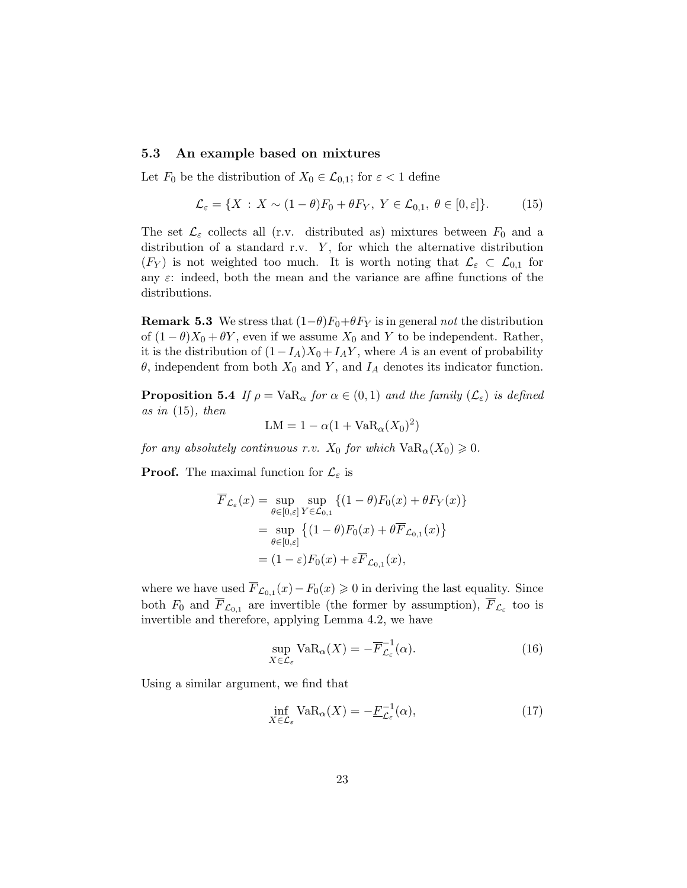#### 5.3 An example based on mixtures

Let  $F_0$  be the distribution of  $X_0 \in \mathcal{L}_{0,1}$ ; for  $\varepsilon < 1$  define

$$
\mathcal{L}_{\varepsilon} = \{ X : X \sim (1 - \theta) F_0 + \theta F_Y, Y \in \mathcal{L}_{0,1}, \theta \in [0, \varepsilon] \}. \tag{15}
$$

The set  $\mathcal{L}_{\varepsilon}$  collects all (r.v. distributed as) mixtures between  $F_0$  and a distribution of a standard r.v.  $Y$ , for which the alternative distribution  $(F_Y)$  is not weighted too much. It is worth noting that  $\mathcal{L}_{\varepsilon} \subset \mathcal{L}_{0,1}$  for any  $\varepsilon$ : indeed, both the mean and the variance are affine functions of the distributions.

**Remark 5.3** We stress that  $(1-\theta)F_0+\theta F_Y$  is in general not the distribution of  $(1 - \theta)X_0 + \theta Y$ , even if we assume  $X_0$  and Y to be independent. Rather, it is the distribution of  $(1-I_A)X_0 + I_AY$ , where A is an event of probability  $\theta$ , independent from both  $X_0$  and Y, and  $I_A$  denotes its indicator function.

**Proposition 5.4** If  $\rho = \text{VaR}_{\alpha}$  for  $\alpha \in (0,1)$  and the family  $(\mathcal{L}_{\varepsilon})$  is defined as in  $(15)$ , then

$$
LM = 1 - \alpha(1 + VaR_{\alpha}(X_0)^2)
$$

for any absolutely continuous r.v.  $X_0$  for which  $VaR_\alpha(X_0) \geq 0$ .

**Proof.** The maximal function for  $\mathcal{L}_{\varepsilon}$  is

$$
\overline{F}_{\mathcal{L}_{\varepsilon}}(x) = \sup_{\theta \in [0,\varepsilon]} \sup_{Y \in \mathcal{L}_{0,1}} \{ (1 - \theta) F_0(x) + \theta F_Y(x) \}
$$
\n
$$
= \sup_{\theta \in [0,\varepsilon]} \{ (1 - \theta) F_0(x) + \theta \overline{F}_{\mathcal{L}_{0,1}}(x) \}
$$
\n
$$
= (1 - \varepsilon) F_0(x) + \varepsilon \overline{F}_{\mathcal{L}_{0,1}}(x),
$$

where we have used  $\overline{F}_{\mathcal{L}_{0,1}}(x) - F_0(x) \geq 0$  in deriving the last equality. Since both  $F_0$  and  $\overline{F}_{\mathcal{L}_{0,1}}$  are invertible (the former by assumption),  $\overline{F}_{\mathcal{L}_{\varepsilon}}$  too is invertible and therefore, applying Lemma 4.2, we have

$$
\sup_{X \in \mathcal{L}_{\varepsilon}} \text{VaR}_{\alpha}(X) = -\overline{F}_{\mathcal{L}_{\varepsilon}}^{-1}(\alpha). \tag{16}
$$

Using a similar argument, we find that

$$
\inf_{X \in \mathcal{L}_{\varepsilon}} \text{VaR}_{\alpha}(X) = -\underline{F}_{\mathcal{L}_{\varepsilon}}^{-1}(\alpha),\tag{17}
$$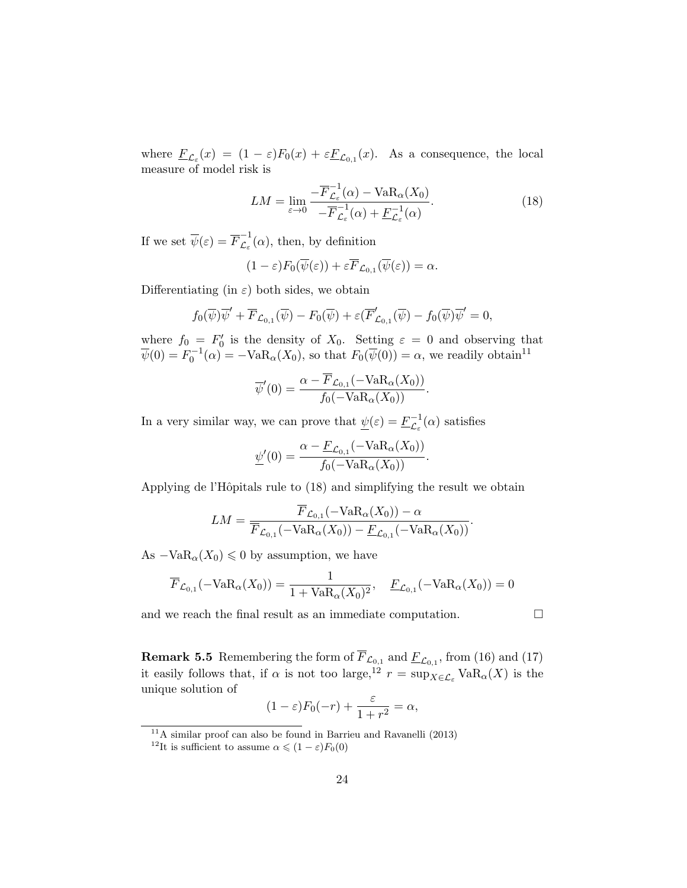where  $\underline{F}_{\mathcal{L}_{\varepsilon}}(x) = (1 - \varepsilon)F_0(x) + \varepsilon \underline{F}_{\mathcal{L}_{0,1}}(x)$ . As a consequence, the local measure of model risk is

$$
LM = \lim_{\varepsilon \to 0} \frac{-\overline{F}_{\mathcal{L}_{\varepsilon}}^{-1}(\alpha) - \text{VaR}_{\alpha}(X_0)}{-\overline{F}_{\mathcal{L}_{\varepsilon}}^{-1}(\alpha) + \underline{F}_{\mathcal{L}_{\varepsilon}}^{-1}(\alpha)}.
$$
\n(18)

If we set  $\overline{\psi}(\varepsilon) = \overline{F}_{\mathcal{L}_{\varepsilon}}^{-1}$  $\overline{\mathcal{L}}_{\varepsilon}^{\mathfrak{t}}(\alpha)$ , then, by definition

$$
(1-\varepsilon)F_0(\overline{\psi}(\varepsilon)) + \varepsilon \overline{F}_{\mathcal{L}_{0,1}}(\overline{\psi}(\varepsilon)) = \alpha.
$$

Differentiating (in  $\varepsilon$ ) both sides, we obtain

$$
f_0(\overline{\psi})\overline{\psi}' + \overline{F}_{\mathcal{L}_{0,1}}(\overline{\psi}) - F_0(\overline{\psi}) + \varepsilon(\overline{F}_{\mathcal{L}_{0,1}}'(\overline{\psi}) - f_0(\overline{\psi})\overline{\psi}' = 0,
$$

where  $f_0 = F'_0$  is the density of  $X_0$ . Setting  $\varepsilon = 0$  and observing that  $\overline{\psi}(0) = F_0^{-1}(\alpha) = -\text{VaR}_{\alpha}(X_0)$ , so that  $F_0(\overline{\psi}(0)) = \alpha$ , we readily obtain<sup>11</sup>

$$
\overline{\psi}'(0) = \frac{\alpha - F_{\mathcal{L}_{0,1}}(-\text{VaR}_{\alpha}(X_0))}{f_0(-\text{VaR}_{\alpha}(X_0))}.
$$

In a very similar way, we can prove that  $\psi(\varepsilon) = \underline{F}_{\zeta}^{-1}$ .  $\overline{\mathcal{L}}_{\varepsilon}^{-1}(\alpha)$  satisfies

$$
\underline{\psi}'(0) = \frac{\alpha - \underline{F}_{\mathcal{L}_{0,1}}(-\text{VaR}_{\alpha}(X_0))}{f_0(-\text{VaR}_{\alpha}(X_0))}.
$$

Applying de l'Hôpitals rule to (18) and simplifying the result we obtain

$$
LM = \frac{\overline{F}_{\mathcal{L}_{0,1}}(-\text{VaR}_{\alpha}(X_0)) - \alpha}{\overline{F}_{\mathcal{L}_{0,1}}(-\text{VaR}_{\alpha}(X_0)) - \underline{F}_{\mathcal{L}_{0,1}}(-\text{VaR}_{\alpha}(X_0))}.
$$

As  $-\text{VaR}_{\alpha}(X_0) \leq 0$  by assumption, we have

$$
\overline{F}_{\mathcal{L}_{0,1}}(-\text{VaR}_{\alpha}(X_0)) = \frac{1}{1 + \text{VaR}_{\alpha}(X_0)^2}, \quad \underline{F}_{\mathcal{L}_{0,1}}(-\text{VaR}_{\alpha}(X_0)) = 0
$$

and we reach the final result as an immediate computation.  $\Box$ 

**Remark 5.5** Remembering the form of  $\overline{F}_{\mathcal{L}_{0,1}}$  and  $\underline{F}_{\mathcal{L}_{0,1}}$ , from (16) and (17) it easily follows that, if  $\alpha$  is not too large,<sup>12</sup>  $r = \sup_{X \in \mathcal{L}_{\epsilon}} \text{VaR}_{\alpha}(X)$  is the unique solution of

$$
(1 - \varepsilon)F_0(-r) + \frac{\varepsilon}{1 + r^2} = \alpha,
$$

 $11A$  similar proof can also be found in Barrieu and Ravanelli (2013)

<sup>&</sup>lt;sup>12</sup>It is sufficient to assume  $\alpha \leqslant (1 - \varepsilon)F_0(0)$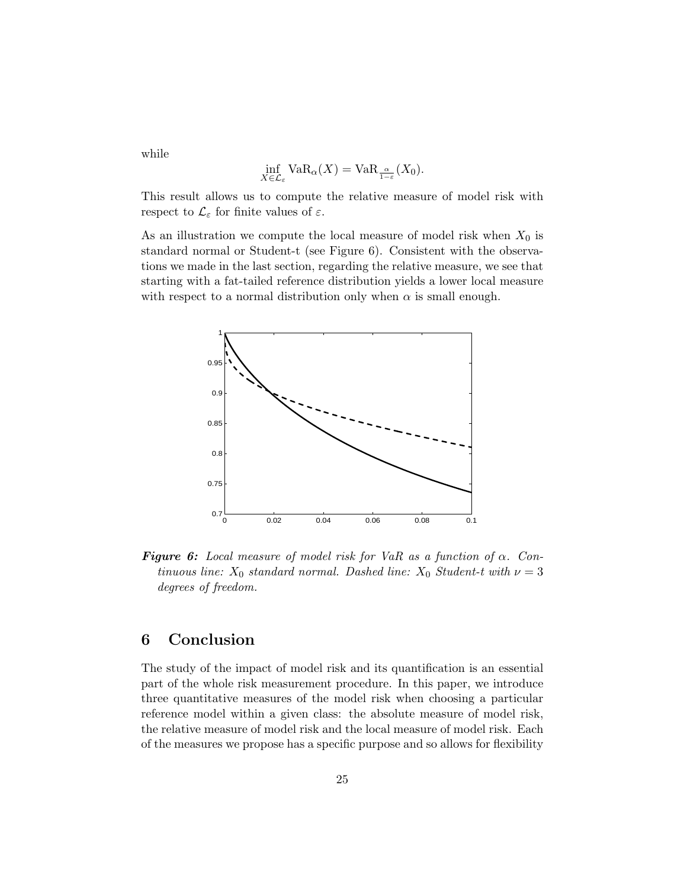while

$$
\inf_{X \in \mathcal{L}_{\varepsilon}} \text{VaR}_{\alpha}(X) = \text{VaR}_{\frac{\alpha}{1 - \varepsilon}}(X_0).
$$

This result allows us to compute the relative measure of model risk with respect to  $\mathcal{L}_{\varepsilon}$  for finite values of  $\varepsilon$ .

As an illustration we compute the local measure of model risk when  $X_0$  is standard normal or Student-t (see Figure 6). Consistent with the observations we made in the last section, regarding the relative measure, we see that starting with a fat-tailed reference distribution yields a lower local measure with respect to a normal distribution only when  $\alpha$  is small enough.



**Figure 6:** Local measure of model risk for VaR as a function of  $\alpha$ . Continuous line:  $X_0$  standard normal. Dashed line:  $X_0$  Student-t with  $\nu = 3$ degrees of freedom.

# 6 Conclusion

The study of the impact of model risk and its quantification is an essential part of the whole risk measurement procedure. In this paper, we introduce three quantitative measures of the model risk when choosing a particular reference model within a given class: the absolute measure of model risk, the relative measure of model risk and the local measure of model risk. Each of the measures we propose has a specific purpose and so allows for flexibility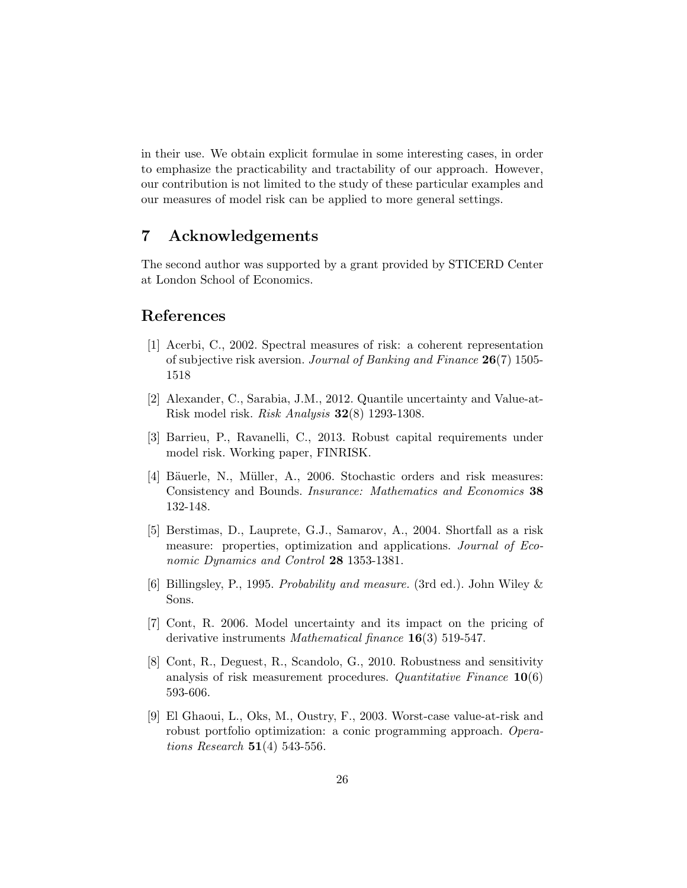in their use. We obtain explicit formulae in some interesting cases, in order to emphasize the practicability and tractability of our approach. However, our contribution is not limited to the study of these particular examples and our measures of model risk can be applied to more general settings.

# 7 Acknowledgements

The second author was supported by a grant provided by STICERD Center at London School of Economics.

# References

- [1] Acerbi, C., 2002. Spectral measures of risk: a coherent representation of subjective risk aversion. Journal of Banking and Finance 26(7) 1505- 1518
- [2] Alexander, C., Sarabia, J.M., 2012. Quantile uncertainty and Value-at-Risk model risk. Risk Analysis 32(8) 1293-1308.
- [3] Barrieu, P., Ravanelli, C., 2013. Robust capital requirements under model risk. Working paper, FINRISK.
- [4] Bäuerle, N., Müller, A., 2006. Stochastic orders and risk measures: Consistency and Bounds. Insurance: Mathematics and Economics 38 132-148.
- [5] Berstimas, D., Lauprete, G.J., Samarov, A., 2004. Shortfall as a risk measure: properties, optimization and applications. Journal of Economic Dynamics and Control 28 1353-1381.
- [6] Billingsley, P., 1995. Probability and measure. (3rd ed.). John Wiley & Sons.
- [7] Cont, R. 2006. Model uncertainty and its impact on the pricing of derivative instruments Mathematical finance 16(3) 519-547.
- [8] Cont, R., Deguest, R., Scandolo, G., 2010. Robustness and sensitivity analysis of risk measurement procedures. Quantitative Finance  $10(6)$ 593-606.
- [9] El Ghaoui, L., Oks, M., Oustry, F., 2003. Worst-case value-at-risk and robust portfolio optimization: a conic programming approach. Opera*tions Research*  $51(4)$  543-556.